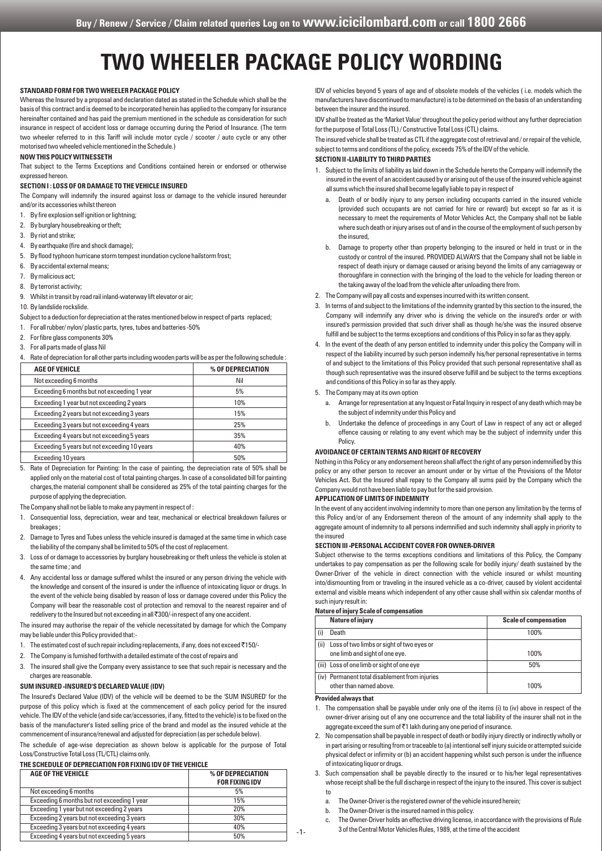# **TWO WHEELER PACKAGE POLICY WORDING**

## **STANDARD FORM FOR TWO WHEELER PACKAGE POLICY**

Whereas the Insured by a proposal and declaration dated as stated in the Schedule which shall be the basis of this contract and is deemed to be incorporated herein has applied to the company for insurance hereinafter contained and has paid the premium mentioned in the schedule as consideration for such insurance in respect of accident loss or damage occurring during the Period of Insurance. (The term two wheeler referred to in this Tariff will include motor cycle / scooter / auto cycle or any other motorised two wheeled vehicle mentioned in the Schedule.)

#### **NOW THIS POLICY WITNESSETH**

That subject to the Terms Exceptions and Conditions contained herein or endorsed or otherwise expressed hereon.

## **SECTION I : LOSS OF OR DAMAGE TO THE VEHICLE INSURED**

The Company will indemnify the insured against loss or damage to the vehicle insured hereunder and/or its accessories whilst thereon

- 1. By fire explosion self ignition or lightning;
- 2. By burglary housebreaking or theft;
- 3. By riot and strike;
- 4. By earthquake (fire and shock damage);
- 5. By flood typhoon hurricane storm tempest inundation cyclone hailstorm frost;
- 6. By accidental external means;
- 7. By malicious act;
- 8. By terrorist activity;

9. Whilst in transit by road rail inland-waterway lift elevator or air;

10. By landslide rockslide.

Subject to a deduction for depreciation at the rates mentioned below in respect of parts replaced;

- 1. For all rubber/ nylon/ plastic parts, tyres, tubes and batteries -50%
- 2. For fibre glass components 30%
- 3. For all parts made of glass Nil

4. Rate of depreciation for all other parts including wooden parts will be as per the following schedule :

| <b>AGE OF VEHICLE</b>                        | % OF DEPRECIATION |
|----------------------------------------------|-------------------|
| Not exceeding 6 months                       | Nil               |
| Exceeding 6 months but not exceeding 1 year  | 5%                |
| Exceeding 1 year but not exceeding 2 years   | 10%               |
| Exceeding 2 years but not exceeding 3 years  | 15%               |
| Exceeding 3 years but not exceeding 4 years  | 25%               |
| Exceeding 4 years but not exceeding 5 years  | 35%               |
| Exceeding 5 years but not exceeding 10 years | 40%               |
| Exceeding 10 years                           | 50%               |

5. Rate of Depreciation for Painting: In the case of painting, the depreciation rate of 50% shall be applied only on the material cost of total painting charges. In case of a consolidated bill for painting charges,the material component shall be considered as 25% of the total painting charges for the purpose of applying the depreciation.

The Company shall not be liable to make any payment in respect of :

- 1. Consequential loss, depreciation, wear and tear, mechanical or electrical breakdown failures or breakages ;
- 2. Damage to Tyres and Tubes unless the vehicle insured is damaged at the same time in which case the liability of the company shall be limited to 50% of the cost of replacement.
- 3. Loss of or damage to accessories by burglary housebreaking or theft unless the vehicle is stolen at the same time ; and
- 4. Any accidental loss or damage suffered whilst the insured or any person driving the vehicle with the knowledge and consent of the insured is under the influence of intoxicating liquor or drugs. In the event of the vehicle being disabled by reason of loss or damage covered under this Policy the Company will bear the reasonable cost of protection and removal to the nearest repairer and of redelivery to the Insured but not exceeding in all ₹300/-in respect of any one accident.

The insured may authorise the repair of the vehicle necessitated by damage for which the Company may be liable under this Policy provided that:-

- 1. The estimated cost of such repair including replacements, if any, does not exceed  $\bar{c}$ 150/-
- 2. The Company is furnished forthwith a detailed estimate of the cost of repairs and
- 3. The insured shall give the Company every assistance to see that such repair is necessary and the charges are reasonable.

## **SUM INSURED -INSURED'S DECLARED VALUE (IDV)**

The Insured's Declared Value (IDV) of the vehicle will be deemed to be the 'SUM INSURED' for the purpose of this policy which is fixed at the commencement of each policy period for the insured vehicle. The IDV of the vehicle (and side car/accessories, if any, fitted to the vehicle) is to be fixed on the basis of the manufacturer's listed selling price of the brand and model as the insured vehicle at the commencement of insurance/renewal and adjusted for depreciation (as per schedule below).

The schedule of age-wise depreciation as shown below is applicable for the purpose of Total Loss/Constructive Total Loss (TL/CTL) claims only.

#### **THE SCHEDULE OF DEPRECIATION FOR FIXING IDV OF THE VEHICLE**

| <b>AGE OF THE VEHICLE</b>                   | % OF DEPRECIATION<br><b>FOR FIXING IDV</b> |
|---------------------------------------------|--------------------------------------------|
| Not exceeding 6 months                      | 5%                                         |
| Exceeding 6 months but not exceeding 1 year | 15%                                        |
| Exceeding 1 year but not exceeding 2 years  | 20%                                        |
| Exceeding 2 years but not exceeding 3 years | 30%                                        |
| Exceeding 3 years but not exceeding 4 years | 40%                                        |
| Exceeding 4 years but not exceeding 5 years | 50%                                        |

IDV of vehicles beyond 5 years of age and of obsolete models of the vehicles ( i.e. models which the manufacturers have discontinued to manufacture) is to be determined on the basis of an understanding between the insurer and the insured.

IDV shall be treated as the 'Market Value' throughout the policy period without any further depreciation for the purpose of Total Loss (TL) / Constructive Total Loss (CTL) claims.

The insured vehicle shall be treated as CTL if the aggregate cost of retrieval and / or repair of the vehicle, subject to terms and conditions of the policy, exceeds 75% of the IDV of the vehicle.

# **SECTION II -LIABILITY TO THIRD PARTIES**

- 1. Subject to the limits of liability as laid down in the Schedule hereto the Company will indemnify the insured in the event of an accident caused by or arising out of the use of the insured vehicle against all sums which the insured shall become legally liable to pay in respect of
	- a. Death of or bodily injury to any person including occupants carried in the insured vehicle (provided such occupants are not carried for hire or reward) but except so far as it is necessary to meet the requirements of Motor Vehicles Act, the Company shall not be liable where such death or injury arises out of and in the course of the employment of such person by the insured,
	- b. Damage to property other than property belonging to the insured or held in trust or in the custody or control of the insured. PROVIDED ALWAYS that the Company shall not be liable in respect of death injury or damage caused or arising beyond the limits of any carriageway or thoroughfare in connection with the bringing of the load to the vehicle for loading thereon or the taking away of the load from the vehicle after unloading there from.
- 2. The Company will pay all costs and expenses incurred with its written consent.
- 3. In terms of and subject to the limitations of the indemnity granted by this section to the insured, the Company will indemnify any driver who is driving the vehicle on the insured's order or with insured's permission provided that such driver shall as though he/she was the insured observe fulfill and be subject to the terms exceptions and conditions of this Policy in so far as they apply.
- 4. In the event of the death of any person entitled to indemnity under this policy the Company will in respect of the liability incurred by such person indemnify his/her personal representative in terms of and subject to the limitations of this Policy provided that such personal representative shall as though such representative was the insured observe fulfill and be subject to the terms exceptions and conditions of this Policy in so far as they apply.
- 5. The Company may at its own option
	- a. Arrange for representation at any Inquest or Fatal Inquiry in respect of any death which may be the subject of indemnity under this Policy and
	- b. Undertake the defence of proceedings in any Court of Law in respect of any act or alleged offence causing or relating to any event which may be the subject of indemnity under this **Policy**

## **AVOIDANCE OF CERTAIN TERMS AND RIGHT OF RECOVERY**

Nothing in this Policy or any endorsement hereon shall affect the right of any person indemnified by this policy or any other person to recover an amount under or by virtue of the Provisions of the Motor Vehicles Act. But the Insured shall repay to the Company all sums paid by the Company which the Company would not have been liable to pay but for the said provision.

## **APPLICATION OF LIMITS OF INDEMNITY**

In the event of any accident involving indemnity to more than one person any limitation by the terms of this Policy and/or of any Endorsement thereon of the amount of any indemnity shall apply to the aggregate amount of indemnity to all persons indemnified and such indemnity shall apply in priority to the insured

## **SECTION III -PERSONAL ACCIDENT COVER FOR OWNER-DRIVER**

Subject otherwise to the terms exceptions conditions and limitations of this Policy, the Company undertakes to pay compensation as per the following scale for bodily injury/ death sustained by the Owner-Driver of the vehicle in direct connection with the vehicle insured or whilst mounting into/dismounting from or traveling in the insured vehicle as a co-driver, caused by violent accidental external and visible means which independent of any other cause shall within six calendar months of such injury result in:

#### **Nature of injury Scale of compensation**

|      | <b>Nature of injury</b>                        | <b>Scale of compensation</b> |
|------|------------------------------------------------|------------------------------|
|      | Death                                          | 100%                         |
| (ii) | Loss of two limbs or sight of two eyes or      |                              |
|      | one limb and sight of one eye.                 | 100%                         |
|      | (iii) Loss of one limb or sight of one eye     | 50%                          |
|      | (iv) Permanent total disablement from injuries |                              |
|      | other than named above.                        | 100%                         |

## **Provided always that**

- 1. The compensation shall be payable under only one of the items (i) to (iv) above in respect of the owner-driver arising out of any one occurrence and the total liability of the insurer shall not in the aggregate exceed the sum of  $\bar{z}$ 1 lakh during any one period of insurance.
- 2. No compensation shall be payable in respect of death or bodily injury directly or indirectly wholly or in part arising or resulting from or traceable to (a) intentional self injury suicide or attempted suicide physical defect or infirmity or (b) an accident happening whilst such person is under the influence of intoxicating liquor or drugs.
- 3. Such compensation shall be payable directly to the insured or to his/her legal representatives whose receipt shall be the full discharge in respect of the injury to the insured. This cover is subject to
	- a. The Owner-Driver is the registered owner of the vehicle insured herein;
	- b. The Owner-Driver is the insured named in this policy.
	- c. The Owner-Driver holds an effective driving license, in accordance with the provisions of Rule 3 of the Central Motor Vehicles Rules, 1989, at the time of the accident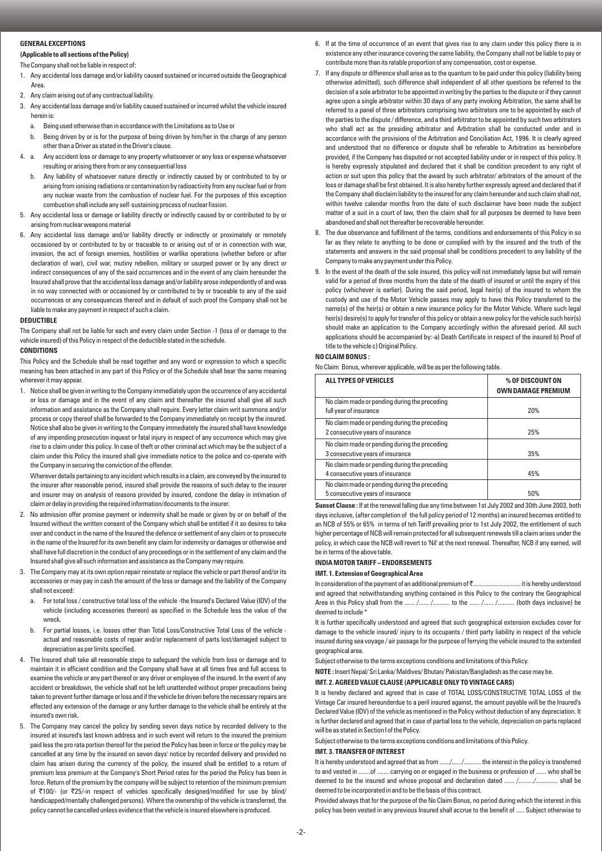## **GENERAL EXCEPTIONS**

# **(Applicable to all sections of the Policy)**

#### The Company shall not be liable in respect of:

- 1. Any accidental loss damage and/or liability caused sustained or incurred outside the Geographical Area.
- 2. Any claim arising out of any contractual liability.
- 3. Any accidental loss damage and/or liability caused sustained or incurred whilst the vehicle insured herein is:
	- a. Being used otherwise than in accordance with the Limitations as to Use or
	- b. Being driven by or is for the purpose of being driven by him/her in the charge of any person other than a Driver as stated in the Driver's clause.
- 4. a. Any accident loss or damage to any property whatsoever or any loss or expense whatsoever resulting or arising there from or any consequential loss
	- b. Any liability of whatsoever nature directly or indirectly caused by or contributed to by or arising from ionising radiations or contamination by radioactivity from any nuclear fuel or from any nuclear waste from the combustion of nuclear fuel. For the purposes of this exception combustion shall include any self-sustaining process of nuclear fission.
- 5. Any accidental loss or damage or liability directly or indirectly caused by or contributed to by or arising from nuclear weapons material
- 6. Any accidental loss damage and/or liability directly or indirectly or proximately or remotely occasioned by or contributed to by or traceable to or arising out of or in connection with war, invasion, the act of foreign enemies, hostilities or warlike operations (whether before or after declaration of war), civil war, mutiny rebellion, military or usurped power or by any direct or indirect consequences of any of the said occurrences and in the event of any claim hereunder the Insured shall prove that the accidental loss damage and/or liability arose independently of and was in no way connected with or occasioned by or contributed to by or traceable to any of the said occurrences or any consequences thereof and in default of such proof the Company shall not be liable to make any payment in respect of such a claim.

#### **DEDUCTIBLE**

The Company shall not be liable for each and every claim under Section -1 (loss of or damage to the vehicle insured) of this Policy in respect of the deductible stated in the schedule.

### **CONDITIONS**

This Policy and the Schedule shall be read together and any word or expression to which a specific meaning has been attached in any part of this Policy or of the Schedule shall bear the same meaning wherever it may appear.

1. Notice shall be given in writing to the Company immediately upon the occurrence of any accidental or loss or damage and in the event of any claim and thereafter the insured shall give all such information and assistance as the Company shall require. Every letter claim writ summons and/or process or copy thereof shall be forwarded to the Company immediately on receipt by the insured. Notice shall also be given in writing to the Company immediately the insured shall have knowledge of any impending prosecution inquest or fatal injury in respect of any occurrence which may give rise to a claim under this policy. In case of theft or other criminal act which may be the subject of a claim under this Policy the insured shall give immediate notice to the police and co-operate with the Company in securing the conviction of the offender.

Wherever details pertaining to any incident which results in a claim, are conveyed by the insured to the insurer after reasonable period, insured shall provide the reasons of such delay to the insurer and insurer may on analysis of reasons provided by insured, condone the delay in intimation of claim or delay in providing the required information/documents to the insurer.

- 2. No admission offer promise payment or indemnity shall be made or given by or on behalf of the Insured without the written consent of the Company which shall be entitled if it so desires to take over and conduct in the name of the Insured the defence or settlement of any claim or to prosecute in the name of the Insured for its own benefit any claim for indemnity or damages or otherwise and shall have full discretion in the conduct of any proceedings or in the settlement of any claim and the Insured shall give all such information and assistance as the Company may require.
- 3. The Company may at its own option repair reinstate or replace the vehicle or part thereof and/or its accessories or may pay in cash the amount of the loss or damage and the liability of the Company shall not exceed:
	- a. For total loss / constructive total loss of the vehicle -the Insured's Declared Value (IDV) of the vehicle (including accessories thereon) as specified in the Schedule less the value of the wreck.
	- b. For partial losses, i.e. losses other than Total Loss/Constructive Total Loss of the vehicle actual and reasonable costs of repair and/or replacement of parts lost/damaged subject to depreciation as per limits specified.
- 4. The Insured shall take all reasonable steps to safeguard the vehicle from loss or damage and to maintain it in efficient condition and the Company shall have at all times free and full access to examine the vehicle or any part thereof or any driver or employee of the insured. In the event of any accident or breakdown, the vehicle shall not be left unattended without proper precautions being taken to prevent further damage or loss and if the vehicle be driven before the necessary repairs are effected any extension of the damage or any further damage to the vehicle shall be entirely at the insured's own risk.
- 5. The Company may cancel the policy by sending seven days notice by recorded delivery to the insured at insured's last known address and in such event will return to the insured the premium paid less the pro rata portion thereof for the period the Policy has been in force or the policy may be cancelled at any time by the insured on seven days' notice by recorded delivery and provided no claim has arisen during the currency of the policy, the insured shall be entitled to a return of premium less premium at the Company's Short Period rates for the period the Policy has been in force. Return of the premium by the company will be subject to retention of the minimum premium of ₹100/- (or ₹25/-in respect of vehicles specifically designed/modified for use by blind/ handicapped/mentally challenged persons). Where the ownership of the vehicle is transferred, the policy cannot be cancelled unless evidence that the vehicle is insured elsewhere is produced.
- 6. If at the time of occurrence of an event that gives rise to any claim under this policy there is in existence any other insurance covering the same liability, the Company shall not be liable to pay or contribute more than its ratable proportion of any compensation, cost or expense.
- 7. If any dispute or difference shall arise as to the quantum to be paid under this policy (liability being otherwise admitted), such difference shall independent of all other questions be referred to the decision of a sole arbitrator to be appointed in writing by the parties to the dispute or if they cannot agree upon a single arbitrator within 30 days of any party invoking Arbitration, the same shall be referred to a panel of three arbitrators comprising two arbitrators one to be appointed by each of the parties to the dispute / difference, and a third arbitrator to be appointed by such two arbitrators who shall act as the presiding arbitrator and Arbitration shall be conducted under and in accordance with the provisions of the Arbitration and Conciliation Act, 1996. It is clearly agreed and understood that no difference or dispute shall be referable to Arbitration as hereinbefore provided, if the Company has disputed or not accepted liability under or in respect of this policy. It is hereby expressly stipulated and declared that it shall be condition precedent to any right of action or suit upon this policy that the award by such arbitrator/ arbitrators of the amount of the loss or damage shall be first obtained. It is also hereby further expressly agreed and declared that if the Company shall disclaim liability to the insured for any claim hereunder and such claim shall not, within twelve calendar months from the date of such disclaimer have been made the subject matter of a suit in a court of law, then the claim shall for all purposes be deemed to have been abandoned and shall not thereafter be recoverable hereunder.
- The due observance and fulfillment of the terms, conditions and endorsements of this Policy in so far as they relate to anything to be done or complied with by the insured and the truth of the statements and answers in the said proposal shall be conditions precedent to any liability of the Company to make any payment under this Policy.
- 9. In the event of the death of the sole insured, this policy will not immediately lapse but will remain valid for a period of three months from the date of the death of insured or until the expiry of this policy (whichever is earlier). During the said period, legal heir(s) of the insured to whom the custody and use of the Motor Vehicle passes may apply to have this Policy transferred to the name(s) of the heir(s) or obtain a new insurance policy for the Motor Vehicle. Where such legal heir(s) desire(s) to apply for transfer of this policy or obtain a new policy for the vehicle such heir(s) should make an application to the Company accordingly within the aforesaid period. All such applications should be accompanied by:-a) Death Certificate in respect of the insured b) Proof of title to the vehicle c) Original Policy.

#### **NO CLAIM BONUS :**

No Claim Bonus, wherever applicable, will be as per the following table.

| <b>ALL TYPES OF VEHICLES</b>                                                      | % OF DISCOUNT ON<br><b>OWN DAMAGE PREMIUM</b> |
|-----------------------------------------------------------------------------------|-----------------------------------------------|
| No claim made or pending during the preceding<br>full year of insurance           | 20%                                           |
| No claim made or pending during the preceding<br>2 consecutive years of insurance | 25%                                           |
| No claim made or pending during the preceding<br>3 consecutive years of insurance | 35%                                           |
| No claim made or pending during the preceding<br>4 consecutive years of insurance | 45%                                           |
| No claim made or pending during the preceding<br>5 consecutive years of insurance | 50%                                           |

**Sunset Clause :** If at the renewal falling due any time between 1st July 2002 and 30th June 2003, both days inclusive, (after completion of the full policy period of 12 months) an insured becomes entitled to an NCB of 55% or 65% in terms of teh Tariff prevailing prior to 1st July 2002, the entitlement of such higher percentage of NCB will remain protected for all subsequent renewals till a claim arises under the policy, in which case the NCB will revert to 'Nil' at the next renewal. Thereafter, NCB if any earned, will be in terms of the above table.

## **INDIA MOTOR TARIFF – ENDORSEMENTS**

#### **IMT. 1. Extension of Geographical Area**

In consideration of the payment of an additional premium of ₹................................. it is hereby understood and agreed that notwithstanding anything contained in this Policy to the contrary the Geographical Area in this Policy shall from the ...... /....... /................... to the ....... /......... (both days inclusive) be deemed to include \*

It is further specifically understood and agreed that such geographical extension excludes cover for damage to the vehicle insured/ injury to its occupants / third party liability in respect of the vehicle insured during sea voyage / air passage for the purpose of ferrying the vehicle insured to the extended geographical area.

Subject otherwise to the terms exceptions conditions and limitations of this Policy.

# **NOTE :** Insert Nepal/ Sri Lanka/ Maldives/ Bhutan/ Pakistan/Bangladesh as the case may be.

# **IMT. 2. AGREED VALUE CLAUSE (APPLICABLE ONLY TO VINTAGE CARS)**

It is hereby declared and agreed that in case of TOTAL LOSS/CONSTRUCTIVE TOTAL LOSS of the Vintage Car insured hereunderdue to a peril insured against, the amount payable will be the Insured's Declared Value (IDV) of the vehicle as mentioned in the Policy without deduction of any depreciation. It is further declared and agreed that in case of partial loss to the vehicle, depreciation on parts replaced will be as stated in Section I of the Policy.

Subject otherwise to the terms exceptions conditions and limitations of this Policy.

#### **IMT. 3. TRANSFER OF INTEREST**

It is hereby understood and agreed that as from ....../....../.......... the interest in the policy is transferred to and vested in .......of ....... carrying on or engaged in the business or profession of ...... who shall be deemed to be the insured and whose proposal and declaration dated ...... /........./............. shall be deemed to be incorporated in and to be the basis of this contract.

Provided always that for the purpose of the No Claim Bonus, no period during which the interest in this policy has been vested in any previous Insured shall accrue to the benefit of ..... Subject otherwise to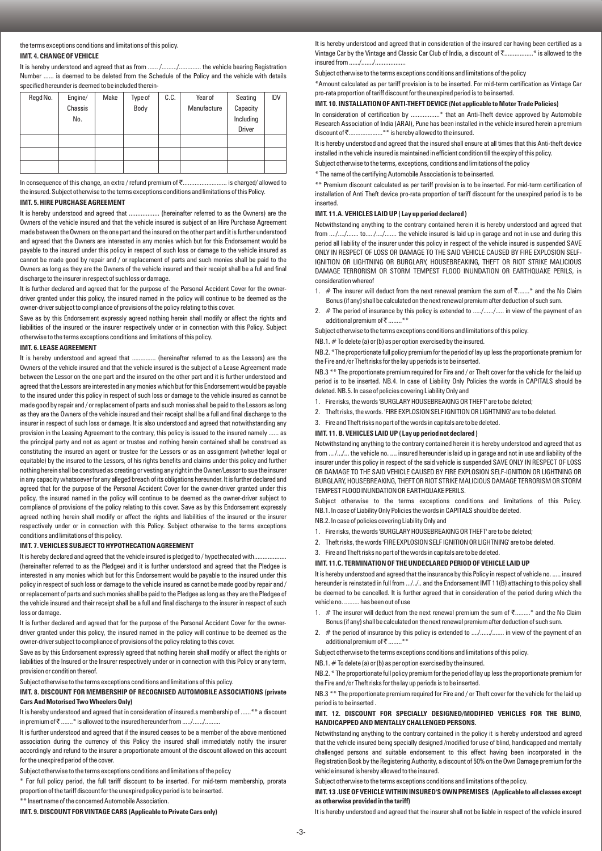## the terms exceptions conditions and limitations of this policy. **IMT. 4. CHANGE OF VEHICLE**

It is hereby understood and agreed that as from ...... /........./............... the vehicle bearing Registration Number ...... is deemed to be deleted from the Schedule of the Policy and the vehicle with details specified hereunder is deemed to be included therein-

| Regd No. | Engine/ | Make | Type of | C.C. | Year of     | Seating       | <b>IDV</b> |
|----------|---------|------|---------|------|-------------|---------------|------------|
|          | Chassis |      | Body    |      | Manufacture | Capacity      |            |
|          | No.     |      |         |      |             | Including     |            |
|          |         |      |         |      |             | <b>Driver</b> |            |
|          |         |      |         |      |             |               |            |
|          |         |      |         |      |             |               |            |
|          |         |      |         |      |             |               |            |

In consequence of this change, an extra / refund premium of ₹.............................. is charged/ allowed to the insured. Subject otherwise to the terms exceptions conditions and limitations of this Policy.

## **IMT. 5. HIRE PURCHASE AGREEMENT**

It is hereby understood and agreed that .................. (hereinafter referred to as the Owners) are the Owners of the vehicle insured and that the vehicle insured is subject of an Hire Purchase Agreement made between the Owners on the one part and the insured on the other part and it is further understood and agreed that the Owners are interested in any monies which but for this Endorsement would be payable to the insured under this policy in respect of such loss or damage to the vehicle insured as cannot be made good by repair and / or replacement of parts and such monies shall be paid to the Owners as long as they are the Owners of the vehicle insured and their receipt shall be a full and final discharge to the insurer in respect of such loss or damage.

It is further declared and agreed that for the purpose of the Personal Accident Cover for the ownerdriver granted under this policy, the insured named in the policy will continue to be deemed as the owner-driver subject to compliance of provisions of the policy relating to this cover.

Save as by this Endorsement expressly agreed nothing herein shall modify or affect the rights and liabilities of the insured or the insurer respectively under or in connection with this Policy. Subject otherwise to the terms exceptions conditions and limitations of this policy.

#### **IMT. 6. LEASE AGREEMENT**

It is hereby understood and agreed that ................ (hereinafter referred to as the Lessors) are the Owners of the vehicle insured and that the vehicle insured is the subject of a Lease Agreement made between the Lessor on the one part and the insured on the other part and it is further understood and agreed that the Lessors are interested in any monies which but for this Endorsement would be payable to the insured under this policy in respect of such loss or damage to the vehicle insured as cannot be made good by repair and / or replacement of parts and such monies shall be paid to the Lessors as long as they are the Owners of the vehicle insured and their receipt shall be a full and final discharge to the insurer in respect of such loss or damage. It is also understood and agreed that notwithstanding any provision in the Leasing Agreement to the contrary, this policy is issued to the insured namely ...... as the principal party and not as agent or trustee and nothing herein contained shall be construed as constituting the insured an agent or trustee for the Lessors or as an assignment (whether legal or equitable) by the insured to the Lessors, of his rights benefits and claims under this policy and further nothing herein shall be construed as creating or vesting any right in the Owner/Lessor to sue the insurer in any capacity whatsoever for any alleged breach of its obligations hereunder. It is further declared and agreed that for the purpose of the Personal Accident Cover for the owner-driver granted under this policy, the insured named in the policy will continue to be deemed as the owner-driver subject to compliance of provisions of the policy relating to this cover. Save as by this Endorsement expressly agreed nothing herein shall modify or affect the rights and liabilities of the insured or the insurer respectively under or in connection with this Policy. Subject otherwise to the terms exceptions conditions and limitations of this policy.

#### **IMT. 7. VEHICLES SUBJECT TO HYPOTHECATION AGREEMENT**

It is hereby declared and agreed that the vehicle insured is pledged to / hypothecated with.....

(hereinafter referred to as the Pledgee) and it is further understood and agreed that the Pledgee is interested in any monies which but for this Endorsement would be payable to the insured under this policy in respect of such loss or damage to the vehicle insured as cannot be made good by repair and / or replacement of parts and such monies shall be paid to the Pledgee as long as they are the Pledgee of the vehicle insured and their receipt shall be a full and final discharge to the insurer in respect of such loss or damage.

It is further declared and agreed that for the purpose of the Personal Accident Cover for the ownerdriver granted under this policy, the insured named in the policy will continue to be deemed as the owner-driver subject to compliance of provisions of the policy relating to this cover.

Save as by this Endorsement expressly agreed that nothing herein shall modify or affect the rights or liabilities of the Insured or the Insurer respectively under or in connection with this Policy or any term, provision or condition thereof.

Subject otherwise to the terms exceptions conditions and limitations of this policy.

## **IMT. 8. DISCOUNT FOR MEMBERSHIP OF RECOGNISED AUTOMOBILE ASSOCIATIONS (private Cars And Motorised Two Wheelers Only)**

It is hereby understood and agreed that in consideration of insured.s membership of ......\*\* a discount in premium of  $\bar{\bar{\mathfrak{c}}}$  .......\* is allowed to the insured hereunder from ...../....../.........

It is further understood and agreed that if the insured ceases to be a member of the above mentioned association during the currency of this Policy the insured shall immediately notify the insurer accordingly and refund to the insurer a proportionate amount of the discount allowed on this account for the unexpired period of the cover.

Subject otherwise to the terms exceptions conditions and limitations of the policy

\* For full policy period, the full tariff discount to be inserted. For mid-term membership, prorata proportion of the tariff discount for the unexpired policy period is to be inserted.

\*\* Insert name of the concerned Automobile Association.

**IMT. 9. DISCOUNT FOR VINTAGE CARS (Applicable to Private Cars only)**

It is hereby understood and agreed that in consideration of the insured car having been certified as a Vintage Car by the Vintage and Classic Car Club of India, a discount of ₹....................\* is allowed to the insured from ....../....../...

Subject otherwise to the terms exceptions conditions and limitations of the policy

\*Amount calculated as per tariff provision is to be inserted. For mid-term certification as Vintage Car pro-rata proportion of tariff discount for the unexpired period is to be inserted.

# **IMT. 10. INSTALLATION OF ANTI-THEFT DEVICE (Not applicable to Motor Trade Policies)**

In consideration of certification by ...................\* that an Anti-Theft device approved by Automobile Research Association of India (ARAI), Pune has been installed in the vehicle insured herein a premium discount of ₹.....................\*\* is hereby allowed to the insured.

It is hereby understood and agreed that the insured shall ensure at all times that this Anti-theft device installed in the vehicle insured is maintained in efficient condition till the expiry of this policy.

Subject otherwise to the terms, exceptions, conditions and limitations of the policy

\* The name of the certifying Automobile Association is to be inserted.

\*\* Premium discount calculated as per tariff provision is to be inserted. For mid-term certification of installation of Anti Theft device pro-rata proportion of tariff discount for the unexpired period is to be inserted.

## **IMT. 11.A. VEHICLES LAID UP ( Lay up period declared )**

Notwithstanding anything to the contrary contained herein it is hereby understood and agreed that from ..../..../....... to...../..../....... the vehicle insured is laid up in garage and not in use and during this period all liability of the insurer under this policy in respect of the vehicle insured is suspended SAVE ONLY IN RESPECT OF LOSS OR DAMAGE TO THE SAID VEHICLE CAUSED BY FIRE EXPLOSION SELF-IGNITION OR LIGHTNING OR BURGLARY, HOUSEBREAKING, THEFT OR RIOT STRIKE MALICIOUS DAMAGE TERRORISM OR STORM TEMPEST FLOOD INUNDATION OR EARTHQUAKE PERILS, in consideration whereof

- 1. # The insurer will deduct from the next renewal premium the sum of  $\bar{\tau}$ .......\* and the No Claim Bonus (if any) shall be calculated on the next renewal premium after deduction of such sum.
- 2. # The period of insurance by this policy is extended to ...../....../..... in view of the payment of an additional premium of  $\bar{\tau}$  ........

Subject otherwise to the terms exceptions conditions and limitations of this policy.

NB.1. # To delete (a) or (b) as per option exercised by the insured.

NB.2. \*The proportionate full policy premium for the period of lay up less the proportionate premium for the Fire and /or Theft risks for the lay up periods is to be inserted.

NB.3<sup>\*\*</sup> The proportionate premium required for Fire and / or Theft cover for the vehicle for the laid up period is to be inserted. NB.4. In case of Liability Only Policies the words in CAPITALS should be deleted. NB.5. In case of policies covering Liability Only and

- 1. Fire risks, the words 'BURGLARY HOUSEBREAKING OR THEFT' are to be deleted;
- 2. Theft risks, the words. 'FIRE EXPLOSION SELF IGNITION OR LIGHTNING' are to be deleted.
- 3. Fire and Theft risks no part of the words in capitals are to be deleted.

#### **IMT. 11. B. VEHICLES LAID UP ( Lay up period not declared )**

Notwithstanding anything to the contrary contained herein it is hereby understood and agreed that as from ... /.../... the vehicle no. .... insured hereunder is laid up in garage and not in use and liability of the insurer under this policy in respect of the said vehicle is suspended SAVE ONLY IN RESPECT OF LOSS OR DAMAGE TO THE SAID VEHICLE CAUSED BY FIRE EXPLOSION SELF-IGNITION OR LIGHTNING OR BURGLARY, HOUSEBREAKING, THEFT OR RIOT STRIKE MALICIOUS DAMAGE TERRORISM OR STORM TEMPEST FLOOD INUNDATION OR EARTHQUAKE PERILS.

Subject otherwise to the terms exceptions conditions and limitations of this Policy. NB.1. In case of Liability Only Policies the words in CAPITALS should be deleted.

- NB.2. In case of policies covering Liability Only and
- 1. Fire risks, the words 'BURGLARY HOUSEBREAKING OR THEFT' are to be deleted;
- 2. Theft risks, the words 'FIRE EXPLOSION SELF IGNITION OR LIGHTNING' are to be deleted.
- 3. Fire and Theft risks no part of the words in capitals are to be deleted.

#### **IMT. 11.C. TERMINATION OF THE UNDECLARED PERIOD OF VEHICLE LAID UP**

It is hereby understood and agreed that the insurance by this Policy in respect of vehicle no. ..... insured hereunder is reinstated in full from .../../.. and the Endorsement IMT 11(B) attaching to this policy shall be deemed to be cancelled. It is further agreed that in consideration of the period during which the vehicle no. ......... has been out of use

- 1. # The insurer will deduct from the next renewal premium the sum of  $\bar{\tau}$ .........\* and the No Claim Bonus (if any) shall be calculated on the next renewal premium after deduction of such sum.
- 2. # the period of insurance by this policy is extended to ..../....../....... in view of the payment of an additional premium of  $\bar{z}$  ........\*\*

Subject otherwise to the terms exceptions conditions and limitations of this policy.

NB.1. # To delete (a) or (b) as per option exercised by the insured.

NB.2. \* The proportionate full policy premium for the period of lay up less the proportionate premium for the Fire and /or Theft risks for the lay up periods is to be inserted.

NB.3<sup>\*\*</sup> The proportionate premium required for Fire and / or Theft cover for the vehicle for the laid up period is to be inserted .

## **IMT. 12. DISCOUNT FOR SPECIALLY DESIGNED/MODIFIED VEHICLES FOR THE BLIND, HANDICAPPED AND MENTALLY CHALLENGED PERSONS.**

Notwithstanding anything to the contrary contained in the policy it is hereby understood and agreed that the vehicle insured being specially designed /modified for use of blind, handicapped and mentally challenged persons and suitable endorsement to this effect having been incorporated in the Registration Book by the Registering Authority, a discount of 50% on the Own Damage premium for the vehicle insured is hereby allowed to the insured.

Subject otherwise to the terms exceptions conditions and limitations of the policy.

## **IMT. 13 .USE OF VEHICLE WITHIN INSURED'S OWN PREMISES (Applicable to all classes except as otherwise provided in the tariff)**

It is hereby understood and agreed that the insurer shall not be liable in respect of the vehicle insured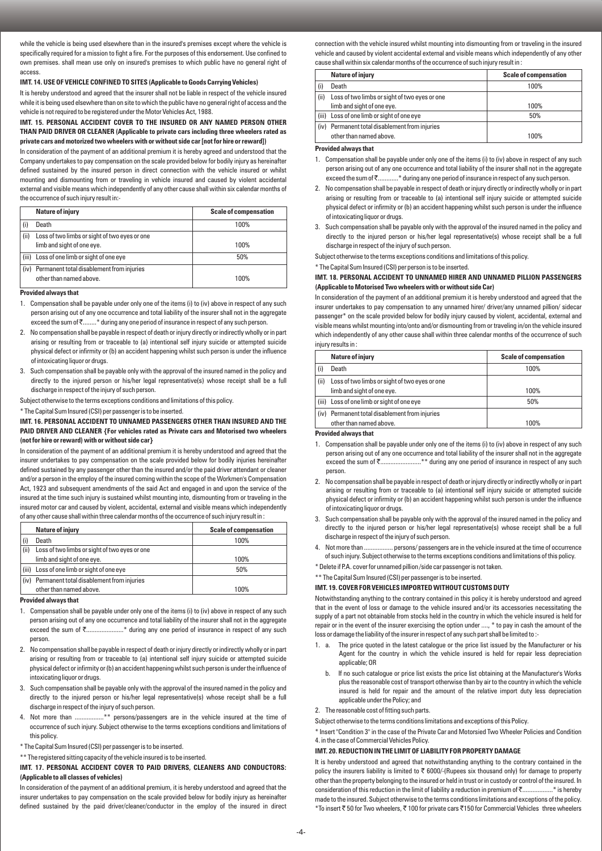while the vehicle is being used elsewhere than in the insured's premises except where the vehicle is specifically required for a mission to fight a fire. For the purposes of this endorsement. Use confined to own premises. shall mean use only on insured's premises to which public have no general right of access.

## **IMT. 14. USE OF VEHICLE CONFINED TO SITES (Applicable to Goods Carrying Vehicles)**

It is hereby understood and agreed that the insurer shall not be liable in respect of the vehicle insured while it is being used elsewhere than on site to which the public have no general right of access and the vehicle is not required to be registered under the Motor Vehicles Act, 1988.

## **IMT. 15. PERSONAL ACCIDENT COVER TO THE INSURED OR ANY NAMED PERSON OTHER THAN PAID DRIVER OR CLEANER (Applicable to private cars including three wheelers rated as private cars and motorized two wheelers with or without side car [not for hire or reward])**

In consideration of the payment of an additional premium it is hereby agreed and understood that the Company undertakes to pay compensation on the scale provided below for bodily injury as hereinafter defined sustained by the insured person in direct connection with the vehicle insured or whilst mounting and dismounting from or traveling in vehicle insured and caused by violent accidental external and visible means which independently of any other cause shall within six calendar months of the occurrence of such injury result in:-

|       | <b>Nature of injury</b>                                                     | <b>Scale of compensation</b> |
|-------|-----------------------------------------------------------------------------|------------------------------|
|       | Death                                                                       | 100%                         |
| (ii)  | Loss of two limbs or sight of two eyes or one<br>limb and sight of one eye. | 100%                         |
| (iii) | Loss of one limb or sight of one eye                                        | 50%                          |
|       | (iv) Permanent total disablement from injuries<br>other than named above.   | 100%                         |

#### **Provided always that**

- 1. Compensation shall be payable under only one of the items (i) to (iv) above in respect of any such person arising out of any one occurrence and total liability of the insurer shall not in the aggregate exceed the sum of  $\bar{\zeta}$ ........\* during any one period of insurance in respect of any such person.
- 2. No compensation shall be payable in respect of death or injury directly or indirectly wholly or in part arising or resulting from or traceable to (a) intentional self injury suicide or attempted suicide physical defect or infirmity or (b) an accident happening whilst such person is under the influence of intoxicating liquor or drugs.
- 3. Such compensation shall be payable only with the approval of the insured named in the policy and directly to the injured person or his/her legal representative(s) whose receipt shall be a full discharge in respect of the injury of such person.

Subject otherwise to the terms exceptions conditions and limitations of this policy.

\* The Capital Sum Insured (CSI) per passenger is to be inserted.

#### **IMT. 16. PERSONAL ACCIDENT TO UNNAMED PASSENGERS OTHER THAN INSURED AND THE PAID DRIVER AND CLEANER {For vehicles rated as Private cars and Motorised two wheelers (not for hire or reward) with or without side car}**

In consideration of the payment of an additional premium it is hereby understood and agreed that the insurer undertakes to pay compensation on the scale provided below for bodily injuries hereinafter defined sustained by any passenger other than the insured and/or the paid driver attendant or cleaner and/or a person in the employ of the insured coming within the scope of the Workmen's Compensation Act, 1923 and subsequent amendments of the said Act and engaged in and upon the service of the insured at the time such injury is sustained whilst mounting into, dismounting from or traveling in the insured motor car and caused by violent, accidental, external and visible means which independently of any other cause shall within three calendar months of the occurrence of such injury result in :

|       | Nature of injury                              | <b>Scale of compensation</b> |
|-------|-----------------------------------------------|------------------------------|
|       | Death                                         | 100%                         |
| (ii)  | Loss of two limbs or sight of two eyes or one |                              |
|       | limb and sight of one eye.                    | 100%                         |
| (iii) | Loss of one limb or sight of one eye          | 50%                          |
| (iv)  | Permanent total disablement from injuries     |                              |
|       | other than named above.                       | 100%                         |

#### **Provided always that**

- 1. Compensation shall be payable under only one of the items (i) to (iv) above in respect of any such person arising out of any one occurrence and total liability of the insurer shall not in the aggregate exceed the sum of ₹.......................\* during any one period of insurance in respect of any such person.
- 2. No compensation shall be payable in respect of death or injury directly or indirectly wholly or in part arising or resulting from or traceable to (a) intentional self injury suicide or attempted suicide physical defect or infirmity or (b) an accident happening whilst such person is under the influence of intoxicating liquor or drugs.
- 3. Such compensation shall be payable only with the approval of the insured named in the policy and directly to the injured person or his/her legal representative(s) whose receipt shall be a full discharge in respect of the injury of such person.
- 4. Not more than .................\*\* persons/passengers are in the vehicle insured at the time of occurrence of such injury. Subject otherwise to the terms exceptions conditions and limitations of this policy.
- \* The Capital Sum Insured (CSI) per passenger is to be inserted.
- \*\* The registered sitting capacity of the vehicle insured is to be inserted.

## **IMT. 17. PERSONAL ACCIDENT COVER TO PAID DRIVERS, CLEANERS AND CONDUCTORS: (Applicable to all classes of vehicles)**

In consideration of the payment of an additional premium, it is hereby understood and agreed that the insurer undertakes to pay compensation on the scale provided below for bodily injury as hereinafter defined sustained by the paid driver/cleaner/conductor in the employ of the insured in direct connection with the vehicle insured whilst mounting into dismounting from or traveling in the insured vehicle and caused by violent accidental external and visible means which independently of any other cause shall within six calendar months of the occurrence of such injury result in :

|       | Nature of injury                                                            | <b>Scale of compensation</b> |
|-------|-----------------------------------------------------------------------------|------------------------------|
|       | Death                                                                       | 100%                         |
| (ii)  | Loss of two limbs or sight of two eyes or one<br>limb and sight of one eye. | 100%                         |
| (iii) | Loss of one limb or sight of one eye                                        | 50%                          |
| (iv)  | Permanent total disablement from injuries<br>other than named above.        | 100%                         |

#### **Provided always that**

- 1. Compensation shall be payable under only one of the items (i) to (iv) above in respect of any such person arising out of any one occurrence and total liability of the insurer shall not in the aggregate exceed the sum of  $\bar{\tau}$ ............\* during any one period of insurance in respect of any such person.
- 2. No compensation shall be payable in respect of death or injury directly or indirectly wholly or in part arising or resulting from or traceable to (a) intentional self injury suicide or attempted suicide physical defect or infirmity or (b) an accident happening whilst such person is under the influence of intoxicating liquor or drugs.
- 3. Such compensation shall be payable only with the approval of the insured named in the policy and directly to the injured person or his/her legal representative(s) whose receipt shall be a full discharge in respect of the injury of such person.

Subject otherwise to the terms exceptions conditions and limitations of this policy.

\* The Capital Sum Insured (CSI) per person is to be inserted.

#### **IMT. 18. PERSONAL ACCIDENT TO UNNAMED HIRER AND UNNAMED PILLION PASSENGERS (Applicable to Motorised Two wheelers with or without side Car)**

In consideration of the payment of an additional premium it is hereby understood and agreed that the insurer undertakes to pay compensation to any unnamed hirer/ driver/any unnamed pillion/ sidecar passenger\* on the scale provided below for bodily injury caused by violent, accidental, external and visible means whilst mounting into/onto and/or dismounting from or traveling in/on the vehicle insured which independently of any other cause shall within three calendar months of the occurrence of such injury results in :

|       | Nature of injury                               | <b>Scale of compensation</b> |
|-------|------------------------------------------------|------------------------------|
|       | Death                                          | 100%                         |
| (ii)  | Loss of two limbs or sight of two eyes or one  |                              |
|       | limb and sight of one eye.                     | 100%                         |
| (iii) | Loss of one limb or sight of one eye           | 50%                          |
|       | (iv) Permanent total disablement from injuries |                              |
|       | other than named above.                        | 100%                         |

#### **Provided always that**

- 1. Compensation shall be payable under only one of the items (i) to (iv) above in respect of any such person arising out of any one occurrence and total liability of the insurer shall not in the aggregate exceed the sum of  $\bar{\tau}$ ..........................\*\* during any one period of insurance in respect of any such person.
- 2. No compensation shall be payable in respect of death or injury directly or indirectly wholly or in part arising or resulting from or traceable to (a) intentional self injury suicide or attempted suicide physical defect or infirmity or (b) an accident happening whilst such person is under the influence of intoxicating liquor or drugs.
- 3. Such compensation shall be payable only with the approval of the insured named in the policy and directly to the injured person or his/her legal representative(s) whose receipt shall be a full discharge in respect of the injury of such person.
- 4. Not more than ................. persons/ passengers are in the vehicle insured at the time of occurrence of such injury. Subject otherwise to the terms exceptions conditions and limitations of this policy.

\* Delete if P.A. cover for unnamed pillion /side car passenger is not taken.

\*\* The Capital Sum Insured (CSI) per passenger is to be inserted.

## **IMT. 19. COVER FOR VEHICLES IMPORTED WITHOUT CUSTOMS DUTY**

Notwithstanding anything to the contrary contained in this policy it is hereby understood and agreed that in the event of loss or damage to the vehicle insured and/or its accessories necessitating the supply of a part not obtainable from stocks held in the country in which the vehicle insured is held for repair or in the event of the insurer exercising the option under ...., \* to pay in cash the amount of the loss or damage the liability of the insurer in respect of any such part shall be limited to :-

- 1. a. The price quoted in the latest catalogue or the price list issued by the Manufacturer or his Agent for the country in which the vehicle insured is held for repair less depreciation applicable; OR
	- b. If no such catalogue or price list exists the price list obtaining at the Manufacturer's Works plus the reasonable cost of transport otherwise than by air to the country in which the vehicle insured is held for repair and the amount of the relative import duty less depreciation applicable under the Policy; and
- 2. The reasonable cost of fitting such parts.
- Subject otherwise to the terms conditions limitations and exceptions of this Policy.

\* Insert "Condition 3" in the case of the Private Car and Motorsied Two Wheeler Policies and Condition 4. in the case of Commercial Vehicles Policy.

#### **IMT. 20. REDUCTION IN THE LIMIT OF LIABILITY FOR PROPERTY DAMAGE**

It is hereby understood and agreed that notwithstanding anything to the contrary contained in the policy the insurers liability is limited to  $\bar{\tau}$  6000/-(Rupees six thousand only) for damage to property other than the property belonging to the insured or held in trust or in custody or control of the insured. In consideration of this reduction in the limit of liability a reduction in premium of  $\bar{\tau}$ ...................\* is hereby made to the insured. Subject otherwise to the terms conditions limitations and exceptions of the policy. \*To insert ₹50 for Two wheelers, ₹100 for private cars ₹150 for Commercial Vehicles three wheelers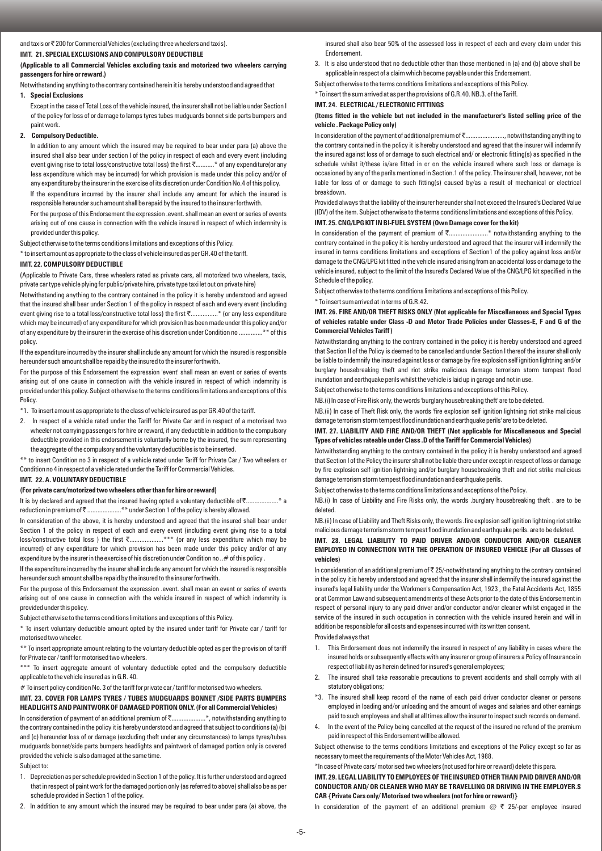and taxis or  $\bar{\tau}$  200 for Commercial Vehicles (excluding three wheelers and taxis).

## **IMT. 21. SPECIAL EXCLUSIONS AND COMPULSORY DEDUCTIBLE**

## **(Applicable to all Commercial Vehicles excluding taxis and motorized two wheelers carrying passengers for hire or reward.)**

Notwithstanding anything to the contrary contained herein it is hereby understood and agreed that

#### **1. Special Exclusions**

Except in the case of Total Loss of the vehicle insured, the insurer shall not be liable under Section I of the policy for loss of or damage to lamps tyres tubes mudguards bonnet side parts bumpers and paint work.

#### **2. Compulsory Deductible.**

In addition to any amount which the insured may be required to bear under para (a) above the insured shall also bear under section I of the policy in respect of each and every event (including event giving rise to total loss/constructive total loss) the first ₹............\* of any expenditure(or any less expenditure which may be incurred) for which provision is made under this policy and/or of any expenditure by the insurer in the exercise of its discretion under Condition No.4 of this policy.

If the expenditure incurred by the insurer shall include any amount for which the insured is responsible hereunder such amount shall be repaid by the insured to the insurer forthwith.

For the purpose of this Endorsement the expression .event. shall mean an event or series of events arising out of one cause in connection with the vehicle insured in respect of which indemnity is provided under this policy.

Subject otherwise to the terms conditions limitations and exceptions of this Policy.

\* to insert amount as appropriate to the class of vehicle insured as per GR.40 of the tariff.

## **IMT 22. COMPULSORY DEDUCTIBLE**

(Applicable to Private Cars, three wheelers rated as private cars, all motorized two wheelers, taxis, private car type vehicle plying for public/private hire, private type taxi let out on private hire)

Notwithstanding anything to the contrary contained in the policy it is hereby understood and agreed that the insured shall bear under Section 1 of the policy in respect of each and every event (including event giving rise to a total loss/constructive total loss) the first ₹...................\* (or any less expenditure which may be incurred) of any expenditure for which provision has been made under this policy and/or of any expenditure by the insurer in the exercise of his discretion under Condition no ..............\*\* of this policy.

If the expenditure incurred by the insurer shall include any amount for which the insured is responsible hereunder such amount shall be repaid by the insured to the insurer forthwith.

For the purpose of this Endorsement the expression 'event' shall mean an event or series of events arising out of one cause in connection with the vehicle insured in respect of which indemnity is provided under this policy. Subject otherwise to the terms conditions limitations and exceptions of this **Policy** 

\*1. To insert amount as appropriate to the class of vehicle insured as per GR.40 of the tariff.

2. In respect of a vehicle rated under the Tariff for Private Car and in respect of a motorised two wheeler not carrying passengers for hire or reward, if any deductible in addition to the compulsory deductible provided in this endorsement is voluntarily borne by the insured, the sum representing the aggregate of the compulsory and the voluntary deductibles is to be inserted.

\*\* to insert Condition no 3 in respect of a vehicle rated under Tariff for Private Car / Two wheelers or Condition no 4 in respect of a vehicle rated under the Tariff for Commercial Vehicles.

#### **IMT. 22. A. VOLUNTARY DEDUCTIBLE**

## **(For private cars/motorized two wheelers other than for hire or reward)**

It is by declared and agreed that the insured having opted a voluntary deductible of ₹.......................\* a reduction in premium of ₹ ......................\*\* under Section 1 of the policy is hereby allowed.

In consideration of the above, it is hereby understood and agreed that the insured shall bear under Section 1 of the policy in respect of each and every event (including event giving rise to a total loss/constructive total loss) the first  $\bar{\zeta}$ ....................\*\*\* (or any less expenditure which may be ......\*\*\* (or any less expenditure which may be incurred) of any expenditure for which provision has been made under this policy and/or of any expenditure by the insurer in the exercise of his discretion under Condition no ..# of this policy .

If the expenditure incurred by the insurer shall include any amount for which the insured is responsible hereunder such amount shall be repaid by the insured to the insurer forthwith.

For the purpose of this Endorsement the expression .event. shall mean an event or series of events arising out of one cause in connection with the vehicle insured in respect of which indemnity is provided under this policy.

Subject otherwise to the terms conditions limitations and exceptions of this Policy.

\* To insert voluntary deductible amount opted by the insured under tariff for Private car / tariff for motorised two wheeler.

\*\* To insert appropriate amount relating to the voluntary deductible opted as per the provision of tariff for Private car / tariff for motorised two wheelers.

\*\*\* To insert aggregate amount of voluntary deductible opted and the compulsory deductible applicable to the vehicle insured as in G.R. 40.

# To insert policy condition No. 3 of the tariff for private car/tariff for motorised two wheelers.

# **IMT. 23. COVER FOR LAMPS TYRES / TUBES MUDGUARDS BONNET /SIDE PARTS BUMPERS HEADLIGHTS AND PAINTWORK OF DAMAGED PORTION ONLY. (For all Commercial Vehicles)**

In consideration of payment of an additional premium of ₹.........................\*, notwithstanding anything to the contrary contained in the policy it is hereby understood and agreed that subject to conditions (a) (b) and (c) hereunder loss of or damage (excluding theft under any circumstances) to lamps tyres/tubes mudguards bonnet/side parts bumpers headlights and paintwork of damaged portion only is covered provided the vehicle is also damaged at the same time.

#### Subject to:

- 1. Depreciation as per schedule provided in Section 1 of the policy. It is further understood and agreed that in respect of paint work for the damaged portion only (as referred to above) shall also be as per schedule provided in Section 1 of the policy.
- 2. In addition to any amount which the insured may be required to bear under para (a) above, the

insured shall also bear 50% of the assessed loss in respect of each and every claim under this Endorsement.

3. It is also understood that no deductible other than those mentioned in (a) and (b) above shall be applicable in respect of a claim which become payable under this Endorsement.

Subject otherwise to the terms conditions limitations and exceptions of this Policy.

# \* To insert the sum arrived at as per the provisions of G.R.40. NB.3. of the Tariff.

## **IMT. 24. ELECTRICAL / ELECTRONIC FITTINGS**

### **(Items fitted in the vehicle but not included in the manufacturer's listed selling price of the vehicle . Package Policy only)**

In consideration of the payment of additional premium of ₹........................, notwithstanding anything to the contrary contained in the policy it is hereby understood and agreed that the insurer will indemnify the insured against loss of or damage to such electrical and/ or electronic fitting(s) as specified in the schedule whilst it/these is/are fitted in or on the vehicle insured where such loss or damage is occasioned by any of the perils mentioned in Section.1 of the policy. The insurer shall, however, not be liable for loss of or damage to such fitting(s) caused by/as a result of mechanical or electrical breakdown.

Provided always that the liability of the insurer hereunder shall not exceed the Insured's Declared Value (IDV) of the item. Subject otherwise to the terms conditions limitations and exceptions of this Policy.

# **IMT. 25. CNG/LPG KIT IN BI-FUEL SYSTEM (Own Damage cover for the kit)**

In consideration of the payment of premium of  $\bar{\zeta}$ ........................\* notwithstanding anything to the contrary contained in the policy it is hereby understood and agreed that the insurer will indemnify the insured in terms conditions limitations and exceptions of Section1 of the policy against loss and/or damage to the CNG/LPG kit fitted in the vehicle insured arising from an accidental loss or damage to the vehicle insured, subject to the limit of the Insured's Declared Value of the CNG/LPG kit specified in the Schedule of the policy.

Subject otherwise to the terms conditions limitations and exceptions of this Policy.

\* To insert sum arrived at in terms of G.R.42.

## **IMT. 26. FIRE AND/OR THEFT RISKS ONLY (Not applicable for Miscellaneous and Special Types of vehicles ratable under Class -D and Motor Trade Policies under Classes-E, F and G of the Commercial Vehicles Tariff )**

Notwithstanding anything to the contrary contained in the policy it is hereby understood and agreed that Section II of the Policy is deemed to be cancelled and under Section I thereof the insurer shall only be liable to indemnify the insured against loss or damage by fire explosion self ignition lightning and/or burglary housebreaking theft and riot strike malicious damage terrorism storm tempest flood inundation and earthquake perils whilst the vehicle is laid up in garage and not in use.

Subject otherwise to the terms conditions limitations and exceptions of this Policy.

NB.(i) In case of Fire Risk only, the words 'burglary housebreaking theft' are to be deleted.

NB.(ii) In case of Theft Risk only, the words 'fire explosion self ignition lightning riot strike malicious damage terrorism storm tempest flood inundation and earthquake perils' are to be deleted.

#### **IMT. 27. LIABILITY AND FIRE AND/OR THEFT (Not applicable for Miscellaneous and Special Types of vehicles rateable under Class .D of the Tariff for Commercial Vehicles)**

Notwithstanding anything to the contrary contained in the policy it is hereby understood and agreed that Section I of the Policy the insurer shall not be liable there under except in respect of loss or damage by fire explosion self ignition lightning and/or burglary housebreaking theft and riot strike malicious damage terrorism storm tempest flood inundation and earthquake perils.

Subject otherwise to the terms conditions limitations and exceptions of the Policy.

NB.(i) In case of Liability and Fire Risks only, the words .burglary housebreaking theft . are to be deleted.

NB.(ii) In case of Liability and Theft Risks only, the words .fire explosion self ignition lightning riot strike malicious damage terrorism storm tempest flood inundation and earthquake perils. are to be deleted.

## **IMT. 28. LEGAL LIABILITY TO PAID DRIVER AND/OR CONDUCTOR AND/OR CLEANER EMPLOYED IN CONNECTION WITH THE OPERATION OF INSURED VEHICLE (For all Classes of vehicles)**

In consideration of an additional premium of ₹ 25/-notwithstanding anything to the contrary contained in the policy it is hereby understood and agreed that the insurer shall indemnify the insured against the insured's legal liability under the Workmen's Compensation Act, 1923 , the Fatal Accidents Act, 1855 or at Common Law and subsequent amendments of these Acts prior to the date of this Endorsement in respect of personal injury to any paid driver and/or conductor and/or cleaner whilst engaged in the service of the insured in such occupation in connection with the vehicle insured herein and will in addition be responsible for all costs and expenses incurred with its written consent.

#### Provided always that

- 1. This Endorsement does not indemnify the insured in respect of any liability in cases where the insured holds or subsequently effects with any insurer or group of insurers a Policy of Insurance in respect of liability as herein defined for insured's general employees;
- 2. The insured shall take reasonable precautions to prevent accidents and shall comply with all statutory obligations;
- \*3. The insured shall keep record of the name of each paid driver conductor cleaner or persons employed in loading and/or unloading and the amount of wages and salaries and other earnings paid to such employees and shall at all times allow the insurer to inspect such records on demand.
- 4. In the event of the Policy being cancelled at the request of the insured no refund of the premium paid in respect of this Endorsement will be allowed.

Subject otherwise to the terms conditions limitations and exceptions of the Policy except so far as necessary to meet the requirements of the Motor Vehicles Act, 1988.

#### \*In case of Private cars/ motorised two wheelers (not used for hire or reward) delete this para.

**IMT. 29. LEGAL LIABILITY TO EMPLOYEES OF THE INSURED OTHER THAN PAID DRIVER AND/OR CONDUCTOR AND/ OR CLEANER WHO MAY BE TRAVELLING OR DRIVING IN THE EMPLOYER.S CAR {Private Cars only/ Motorised two wheelers (not for hire or reward)}**

In consideration of the payment of an additional premium  $@ \tT 25$ /-per employee insured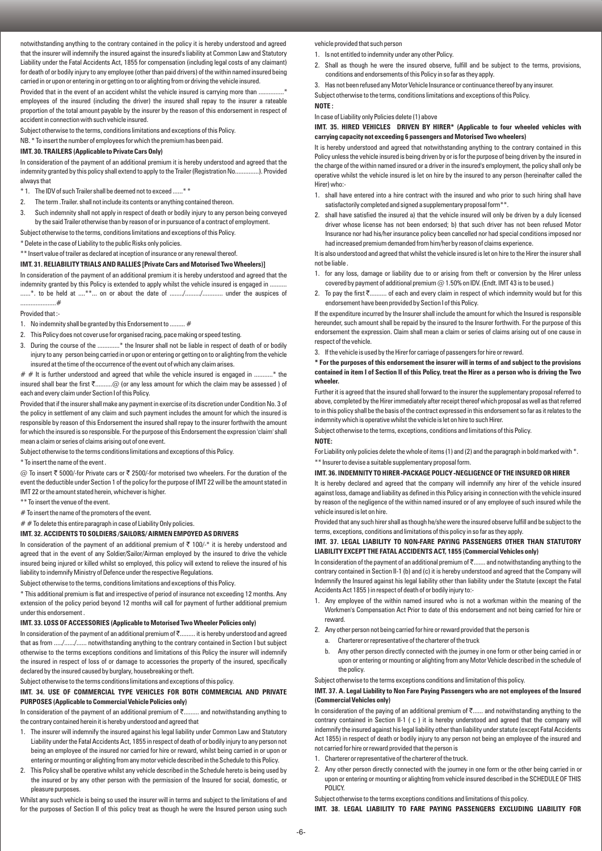notwithstanding anything to the contrary contained in the policy it is hereby understood and agreed that the insurer will indemnify the insured against the insured's liability at Common Law and Statutory Liability under the Fatal Accidents Act, 1855 for compensation (including legal costs of any claimant) for death of or bodily injury to any employee (other than paid drivers) of the within named insured being carried in or upon or entering in or getting on to or alighting from or driving the vehicle insured.

Provided that in the event of an accident whilst the vehicle insured is carrying more than ...... employees of the insured (including the driver) the insured shall repay to the insurer a rateable proportion of the total amount payable by the insurer by the reason of this endorsement in respect of accident in connection with such vehicle insured.

Subject otherwise to the terms, conditions limitations and exceptions of this Policy.

NB. \* To insert the number of employees for which the premium has been paid.

## **IMT. 30. TRAILERS (Applicable to Private Cars Only)**

In consideration of the payment of an additional premium it is hereby understood and agreed that the indemnity granted by this policy shall extend to apply to the Trailer (Registration No..............). Provided always that

- \* 1. The IDV of such Trailer shall be deemed not to exceed ......\* \*
- 2. The term .Trailer. shall not include its contents or anything contained thereon.
- 3. Such indemnity shall not apply in respect of death or bodily injury to any person being conveyed by the said Trailer otherwise than by reason of or in pursuance of a contract of employment.
- Subject otherwise to the terms, conditions limitations and exceptions of this Policy.

\* Delete in the case of Liability to the public Risks only policies.

\*\* Insert value of trailer as declared at inception of insurance or any renewal thereof.

## **IMT. 31. RELIABILITY TRIALS AND RALLIES [Private Cars and Motorised Two Wheelers)]**

In consideration of the payment of an additional premium it is hereby understood and agreed that the indemnity granted by this Policy is extended to apply whilst the vehicle insured is engaged in ... ......\*. to be held at ....\*\*... on or about the date of ......../........../............ under the auspices of .....................#

#### Provided that :-

- 1. No indemnity shall be granted by this Endorsement to ......... #
- 2. This Policy does not cover use for organised racing, pace making or speed testing.
- 3. During the course of the .............\* the Insurer shall not be liable in respect of death of or bodily injury to any person being carried in or upon or entering or getting on to or alighting from the vehicle insured at the time of the occurrence of the event out of which any claim arises.

 $# #$  It is further understood and agreed that while the vehicle insured is engaged in ............\* the insured shall bear the first `..........@ (or any less amount for which the claim may be assessed ) of each and every claim under Section I of this Policy.

Provided that if the insurer shall make any payment in exercise of its discretion under Condition No. 3 of the policy in settlement of any claim and such payment includes the amount for which the insured is responsible by reason of this Endorsement the insured shall repay to the insurer forthwith the amount for which the insured is so responsible. For the purpose of this Endorsement the expression 'claim' shall mean a claim or series of claims arising out of one event.

Subject otherwise to the terms conditions limitations and exceptions of this Policy.

\* To insert the name of the event .

 $@$  To insert ₹ 5000/-for Private cars or ₹ 2500/-for motorised two wheelers. For the duration of the event the deductible under Section 1 of the policy for the purpose of IMT 22 will be the amount stated in IMT 22 or the amount stated herein, whichever is higher.

\*\* To insert the venue of the event.

# To insert the name of the promoters of the event.

 $# #$  To delete this entire paragraph in case of Liability Only policies.

#### **IMT. 32. ACCIDENTS TO SOLDIERS /SAILORS/ AIRMEN EMPOYED AS DRIVERS**

In consideration of the payment of an additional premium of  $\bar{\tau}$  100/-\* it is hereby understood and agreed that in the event of any Soldier/Sailor/Airman employed by the insured to drive the vehicle insured being injured or killed whilst so employed, this policy will extend to relieve the insured of his liability to indemnify Ministry of Defence under the respective Regulations.

Subject otherwise to the terms, conditions limitations and exceptions of this Policy.

\* This additional premium is flat and irrespective of period of insurance not exceeding 12 months. Any extension of the policy period beyond 12 months will call for payment of further additional premium under this endorsement .

## **IMT. 33. LOSS OF ACCESSORIES (Applicable to Motorised Two Wheeler Policies only)**

In consideration of the payment of an additional premium of `......... it is hereby understood and agreed that as from ...../....../...... notwithstanding anything to the contrary contained in Section I but subject otherwise to the terms exceptions conditions and limitations of this Policy the insurer will indemnify the insured in respect of loss of or damage to accessories the property of the insured, specifically declared by the insured caused by burglary, housebreaking or theft.

Subject otherwise to the terms conditions limitations and exceptions of this policy.

## **IMT. 34. USE OF COMMERCIAL TYPE VEHICLES FOR BOTH COMMERCIAL AND PRIVATE PURPOSES (Applicable to Commercial Vehicle Policies only)**

In consideration of the payment of an additional premium of ₹......... and notwithstanding anything to the contrary contained herein it is hereby understood and agreed that

- 1. The insurer will indemnify the insured against his legal liability under Common Law and Statutory Liability under the Fatal Accidents Act, 1855 in respect of death of or bodily injury to any person not being an employee of the insured nor carried for hire or reward, whilst being carried in or upon or entering or mounting or alighting from any motor vehicle described in the Schedule to this Policy.
- 2. This Policy shall be operative whilst any vehicle described in the Schedule hereto is being used by the insured or by any other person with the permission of the Insured for social, domestic, or pleasure purposes.

Whilst any such vehicle is being so used the insurer will in terms and subject to the limitations of and for the purposes of Section II of this policy treat as though he were the Insured person using such

vehicle provided that such person

- 1. Is not entitled to indemnity under any other Policy.
- 2. Shall as though he were the insured observe, fulfill and be subject to the terms, provisions, conditions and endorsements of this Policy in so far as they apply.
- 3. Has not been refused any Motor Vehicle Insurance or continuance thereof by any insurer.

Subject otherwise to the terms, conditions limitations and exceptions of this Policy.

**NOTE :** 

In case of Liability only Policies delete (1) above

## **IMT. 35. HIRED VEHICLES DRIVEN BY HIRER\* (Applicable to four wheeled vehicles with carrying capacity not exceeding 6 passengers and Motorised Two wheelers)**

It is hereby understood and agreed that notwithstanding anything to the contrary contained in this Policy unless the vehicle insured is being driven by or is for the purpose of being driven by the insured in the charge of the within named insured or a driver in the insured's employment, the policy shall only be operative whilst the vehicle insured is let on hire by the insured to any person (hereinafter called the Hirer) who:-

- 1. shall have entered into a hire contract with the insured and who prior to such hiring shall have satisfactorily completed and signed a supplementary proposal form\*\*
- 2. shall have satisfied the insured a) that the vehicle insured will only be driven by a duly licensed driver whose license has not been endorsed; b) that such driver has not been refused Motor Insurance nor had his/her insurance policy been cancelled nor had special conditions imposed nor had increased premium demanded from him/her by reason of claims experience.

It is also understood and agreed that whilst the vehicle insured is let on hire to the Hirer the insurer shall not be liable .

- 1. for any loss, damage or liability due to or arising from theft or conversion by the Hirer unless covered by payment of additional premium @ 1.50% on IDV. (Endt. IMT 43 is to be used.)
- 2. To pay the first ₹.......... of each and every claim in respect of which indemnity would but for this endorsement have been provided by Section I of this Policy.

If the expenditure incurred by the Insurer shall include the amount for which the Insured is responsible hereunder, such amount shall be repaid by the insured to the Insurer forthwith. For the purpose of this endorsement the expression. Claim shall mean a claim or series of claims arising out of one cause in respect of the vehicle.

3. If the vehicle is used by the Hirer for carriage of passengers for hire or reward.

## **\* For the purposes of this endorsement the insurer will in terms of and subject to the provisions contained in item I of Section II of this Policy, treat the Hirer as a person who is driving the Two wheeler.**

Further it is agreed that the insured shall forward to the insurer the supplementary proposal referred to above, completed by the Hirer immediately after receipt thereof which proposal as well as that referred to in this policy shall be the basis of the contract expressed in this endorsement so far as it relates to the indemnity which is operative whilst the vehicle is let on hire to such Hirer.

Subject otherwise to the terms, exceptions, conditions and limitations of this Policy.

## **NOTE:**

For Liability only policies delete the whole of items (1) and (2) and the paragraph in bold marked with  $*$ . \*\* Insurer to devise a suitable supplementary proposal form.

#### **IMT. 36. INDEMNITY TO HIRER -PACKAGE POLICY -NEGLIGENCE OF THE INSURED OR HIRER**

It is hereby declared and agreed that the company will indemnify any hirer of the vehicle insured against loss, damage and liability as defined in this Policy arising in connection with the vehicle insured by reason of the negligence of the within named insured or of any employee of such insured while the vehicle insured is let on hire.

Provided that any such hirer shall as though he/she were the insured observe fulfill and be subject to the terms, exceptions, conditions and limitations of this policy in so far as they apply.

## **IMT. 37. LEGAL LIABILITY TO NON-FARE PAYING PASSENGERS OTHER THAN STATUTORY LIABILITY EXCEPT THE FATAL ACCIDENTS ACT, 1855 (Commercial Vehicles only)**

In consideration of the payment of an additional premium of  $\bar{\tau}$ ....... and notwithstanding anything to the contrary contained in Section II-1 (b) and (c) it is hereby understood and agreed that the Company will Indemnify the Insured against his legal liability other than liability under the Statute (except the Fatal Accidents Act 1855 ) in respect of death of or bodily injury to:-

- 1. Any employee of the within named insured who is not a workman within the meaning of the Workmen's Compensation Act Prior to date of this endorsement and not being carried for hire or reward.
- 2. Any other person not being carried for hire or reward provided that the person is
	- a. Charterer or representative of the charterer of the truck
	- b. Any other person directly connected with the journey in one form or other being carried in or upon or entering or mounting or alighting from any Motor Vehicle described in the schedule of the policy.

Subject otherwise to the terms exceptions conditions and limitation of this policy.

## **IMT. 37. A. Legal Liability to Non Fare Paying Passengers who are not employees of the Insured (Commercial Vehicles only)**

In consideration of the paying of an additional premium of  $\bar{\tau}$ ...... and notwithstanding anything to the contrary contained in Section II-1 (c) it is hereby understood and agreed that the company will indemnify the insured against his legal liability other than liability under statute (except Fatal Accidents Act 1855) in respect of death or bodily injury to any person not being an employee of the insured and not carried for hire or reward provided that the person is

- 1. Charterer or representative of the charterer of the truck.
- 2. Any other person directly connected with the journey in one form or the other being carried in or upon or entering or mounting or alighting from vehicle insured described in the SCHEDULE OF THIS POLICY.

Subject otherwise to the terms exceptions conditions and limitations of this policy. **IMT. 38. LEGAL LIABILITY TO FARE PAYING PASSENGERS EXCLUDING LIABILITY FOR**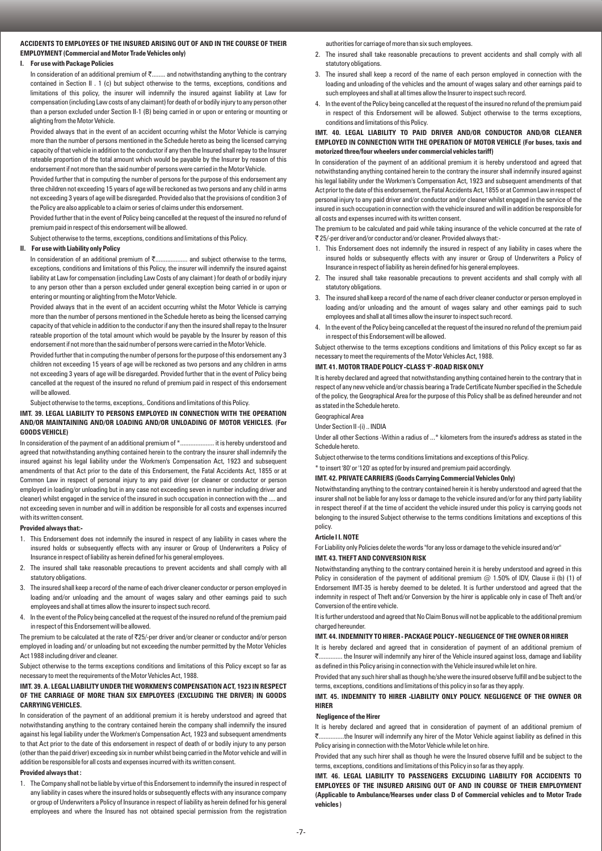## **ACCIDENTS TO EMPLOYEES OF THE INSURED ARISING OUT OF AND IN THE COURSE OF THEIR EMPLOYMENT (Commercial and Motor Trade Vehicles only)**

## **I. For use with Package Policies**

In consideration of an additional premium of  $\bar{\zeta}$ ........ and notwithstanding anything to the contrary contained in Section II . 1 (c) but subject otherwise to the terms, exceptions, conditions and limitations of this policy, the insurer will indemnify the insured against liability at Law for compensation (including Law costs of any claimant) for death of or bodily injury to any person other than a person excluded under Section II-1 (B) being carried in or upon or entering or mounting or alighting from the Motor Vehicle.

Provided always that in the event of an accident occurring whilst the Motor Vehicle is carrying more than the number of persons mentioned in the Schedule hereto as being the licensed carrying capacity of that vehicle in addition to the conductor if any then the Insured shall repay to the Insurer rateable proportion of the total amount which would be payable by the Insurer by reason of this endorsement if not more than the said number of persons were carried in the Motor Vehicle.

Provided further that in computing the number of persons for the purpose of this endorsement any three children not exceeding 15 years of age will be reckoned as two persons and any child in arms not exceeding 3 years of age will be disregarded. Provided also that the provisions of condition 3 of the Policy are also applicable to a claim or series of claims under this endorsement.

Provided further that in the event of Policy being cancelled at the request of the insured no refund of premium paid in respect of this endorsement will be allowed.

Subject otherwise to the terms, exceptions, conditions and limitations of this Policy.

## **II. For use with Liability only Policy**

In consideration of an additional premium of `................... and subject otherwise to the terms, exceptions, conditions and limitations of this Policy, the insurer will indemnify the insured against liability at Law for compensation (including Law Costs of any claimant ) for death of or bodily injury to any person other than a person excluded under general exception being carried in or upon or entering or mounting or alighting from the Motor Vehicle.

Provided always that in the event of an accident occurring whilst the Motor Vehicle is carrying more than the number of persons mentioned in the Schedule hereto as being the licensed carrying capacity of that vehicle in addition to the conductor if any then the insured shall repay to the Insurer rateable proportion of the total amount which would be payable by the Insurer by reason of this endorsement if not more than the said number of persons were carried in the Motor Vehicle.

Provided further that in computing the number of persons for the purpose of this endorsement any 3 children not exceeding 15 years of age will be reckoned as two persons and any children in arms not exceeding 3 years of age will be disregarded. Provided further that in the event of Policy being cancelled at the request of the insured no refund of premium paid in respect of this endorsement will be allowed.

Subject otherwise to the terms, exceptions,. Conditions and limitations of this Policy.

## **IMT. 39. LEGAL LIABILITY TO PERSONS EMPLOYED IN CONNECTION WITH THE OPERATION AND/OR MAINTAINING AND/OR LOADING AND/OR UNLOADING OF MOTOR VEHICLES. (For GOODS VEHICLE)**

In consideration of the payment of an additional premium of  $*$ ......................... it is hereby understood and agreed that notwithstanding anything contained herein to the contrary the insurer shall indemnify the insured against his legal liability under the Workmen's Compensation Act, 1923 and subsequent amendments of that Act prior to the date of this Endorsement, the Fatal Accidents Act, 1855 or at Common Law in respect of personal injury to any paid driver (or cleaner or conductor or person employed in loading/or unloading but in any case not exceeding seven in number including driver and cleaner) whilst engaged in the service of the insured in such occupation in connection with the .... and not exceeding seven in number and will in addition be responsible for all costs and expenses incurred with its written consent.

## **Provided always that:-**

- 1. This Endorsement does not indemnify the insured in respect of any liability in cases where the insured holds or subsequently effects with any insurer or Group of Underwriters a Policy of Insurance in respect of liability as herein defined for his general employees.
- 2. The insured shall take reasonable precautions to prevent accidents and shall comply with all statutory obligations.
- 3. The insured shall keep a record of the name of each driver cleaner conductor or person employed in loading and/or unloading and the amount of wages salary and other earnings paid to such employees and shall at times allow the insurer to inspect such record.
- 4. In the event of the Policy being cancelled at the request of the insured no refund of the premium paid in respect of this Endorsement will be allowed.

The premium to be calculated at the rate of  $\overline{525}$ -per driver and/or cleaner or conductor and/or person employed in loading and/ or unloading but not exceeding the number permitted by the Motor Vehicles Act 1988 including driver and cleaner.

Subject otherwise to the terms exceptions conditions and limitations of this Policy except so far as necessary to meet the requirements of the Motor Vehicles Act, 1988.

#### **IMT. 39. A. LEGAL LIABILITY UNDER THE WORKMEN'S COMPENSATION ACT, 1923 IN RESPECT OF THE CARRIAGE OF MORE THAN SIX EMPLOYEES (EXCLUDING THE DRIVER) IN GOODS CARRYING VEHICLES.**

In consideration of the payment of an additional premium it is hereby understood and agreed that notwithstanding anything to the contrary contained herein the company shall indemnify the insured against his legal liability under the Workmen's Compensation Act, 1923 and subsequent amendments to that Act prior to the date of this endorsement in respect of death of or bodily injury to any person (other than the paid driver) exceeding six in number whilst being carried in the Motor vehicle and will in addition be responsible for all costs and expenses incurred with its written consent.

#### **Provided always that :**

1. The Company shall not be liable by virtue of this Endorsement to indemnify the insured in respect of any liability in cases where the insured holds or subsequently effects with any insurance company or group of Underwriters a Policy of Insurance in respect of liability as herein defined for his general employees and where the Insured has not obtained special permission from the registration

authorities for carriage of more than six such employees.

- 2. The insured shall take reasonable precautions to prevent accidents and shall comply with all statutory obligations.
- 3. The insured shall keep a record of the name of each person employed in connection with the loading and unloading of the vehicles and the amount of wages salary and other earnings paid to such employees and shall at all times allow the Insurer to inspect such record.
- 4. In the event of the Policy being cancelled at the request of the insured no refund of the premium paid in respect of this Endorsement will be allowed. Subject otherwise to the terms exceptions, conditions and limitations of this Policy.

#### **IMT. 40. LEGAL LIABILITY TO PAID DRIVER AND/OR CONDUCTOR AND/OR CLEANER EMPLOYED IN CONNECTION WITH THE OPERATION OF MOTOR VEHICLE (For buses, taxis and motorized three/four wheelers under commercial vehicles tariff)**

In consideration of the payment of an additional premium it is hereby understood and agreed that notwithstanding anything contained herein to the contrary the insurer shall indemnify insured against his legal liability under the Workmen's Compensation Act, 1923 and subsequent amendments of that Act prior to the date of this endorsement, the Fatal Accidents Act, 1855 or at Common Law in respect of personal injury to any paid driver and/or conductor and/or cleaner whilst engaged in the service of the insured in such occupation in connection with the vehicle insured and will in addition be responsible for all costs and expenses incurred with its written consent.

The premium to be calculated and paid while taking insurance of the vehicle concurred at the rate of ` 25/-per driver and/or conductor and/or cleaner. Provided always that:-

- 1. This Endorsement does not indemnify the insured in respect of any liability in cases where the insured holds or subsequently effects with any insurer or Group of Underwriters a Policy of Insurance in respect of liability as herein defined for his general employees.
- 2. The insured shall take reasonable precautions to prevent accidents and shall comply with all statutory obligations.
- 3. The insured shall keep a record of the name of each driver cleaner conductor or person employed in loading and/or unloading and the amount of wages salary and other earnings paid to such employees and shall at all times allow the insurer to inspect such record.
- 4. In the event of the Policy being cancelled at the request of the insured no refund of the premium paid in respect of this Endorsement will be allowed.

Subject otherwise to the terms exceptions conditions and limitations of this Policy except so far as necessary to meet the requirements of the Motor Vehicles Act, 1988.

#### **IMT. 41. MOTOR TRADE POLICY -CLASS 'F' -ROAD RISK ONLY**

It is hereby declared and agreed that notwithstanding anything contained herein to the contrary that in respect of any new vehicle and/or chassis bearing a Trade Certificate Number specified in the Schedule of the policy, the Geographical Area for the purpose of this Policy shall be as defined hereunder and not as stated in the Schedule hereto.

## Geographical Area

Under Section II -(i) .. INDIA

Under all other Sections -Within a radius of ...\* kilometers from the insured's address as stated in the Schedule hereto.

Subject otherwise to the terms conditions limitations and exceptions of this Policy.

\* to insert '80' or '120' as opted for by insured and premium paid accordingly.

**IMT. 42. PRIVATE CARRIERS (Goods Carrying Commercial Vehicles Only)** 

Notwithstanding anything to the contrary contained herein it is hereby understood and agreed that the insurer shall not be liable for any loss or damage to the vehicle insured and/or for any third party liability in respect thereof if at the time of accident the vehicle insured under this policy is carrying goods not belonging to the insured Subject otherwise to the terms conditions limitations and exceptions of this policy.

#### **Article I I. NOTE**

For Liability only Policies delete the words "for any loss or damage to the vehicle insured and/or" **IMT. 43. THEFT AND CONVERSION RISK** 

Notwithstanding anything to the contrary contained herein it is hereby understood and agreed in this Policy in consideration of the payment of additional premium  $@$  1.50% of IDV, Clause ii (b) (1) of Endorsement IMT-35 is hereby deemed to be deleted. It is further understood and agreed that the indemnity in respect of Theft and/or Conversion by the hirer is applicable only in case of Theft and/or Conversion of the entire vehicle.

It is further understood and agreed that No Claim Bonus will not be applicable to the additional premium charged hereunder.

#### **IMT. 44. INDEMNITY TO HIRER - PACKAGE POLICY - NEGLIGENCE OF THE OWNER OR HIRER**

It is hereby declared and agreed that in consideration of payment of an additional premium of `.............. the Insurer will indemnify any hirer of the Vehicle insured against loss, damage and liability as defined in this Policy arising in connection with the Vehicle insured while let on hire.

Provided that any such hirer shall as though he/she were the insured observe fulfill and be subject to the terms, exceptions, conditions and limitations of this policy in so far as they apply.

## **IMT. 45. INDEMNITY TO HIRER -LIABILITY ONLY POLICY. NEGLIGENCE OF THE OWNER OR HIRER**

#### **Negligence of the Hirer**

It is hereby declared and agreed that in consideration of payment of an additional premium of `...............the Insurer will indemnify any hirer of the Motor Vehicle against liability as defined in this Policy arising in connection with the Motor Vehicle while let on hire.

Provided that any such hirer shall as though he were the Insured observe fulfill and be subject to the terms, exceptions, conditions and limitations of this Policy in so far as they apply.

**IMT. 46. LEGAL LIABILITY TO PASSENGERS EXCLUDING LIABILITY FOR ACCIDENTS TO EMPLOYEES OF THE INSURED ARISING OUT OF AND IN COURSE OF THEIR EMPLOYMENT (Applicable to Ambulance/Hearses under class D of Commercial vehicles and to Motor Trade vehicles )**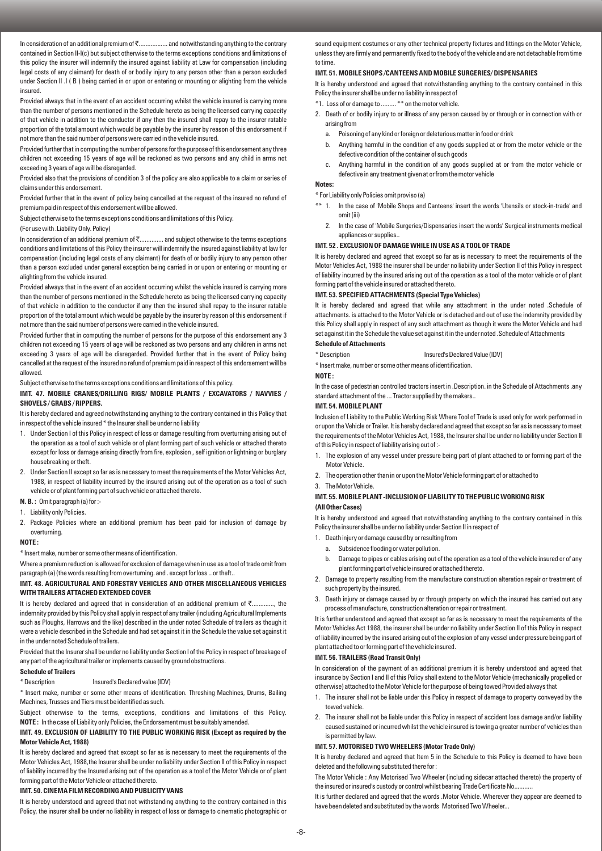In consideration of an additional premium of ₹................... and notwithstanding anything to the contrary contained in Section II-I(c) but subject otherwise to the terms exceptions conditions and limitations of this policy the insurer will indemnify the insured against liability at Law for compensation (including legal costs of any claimant) for death of or bodily injury to any person other than a person excluded under Section II .I ( B ) being carried in or upon or entering or mounting or alighting from the vehicle insured.

Provided always that in the event of an accident occurring whilst the vehicle insured is carrying more than the number of persons mentioned in the Schedule hereto as being the licensed carrying capacity of that vehicle in addition to the conductor if any then the insured shall repay to the insurer ratable proportion of the total amount which would be payable by the insurer by reason of this endorsement if not more than the said number of persons were carried in the vehicle insured.

Provided further that in computing the number of persons for the purpose of this endorsement any three children not exceeding 15 years of age will be reckoned as two persons and any child in arms not exceeding 3 years of age will be disregarded.

Provided also that the provisions of condition 3 of the policy are also applicable to a claim or series of claims under this endorsement.

Provided further that in the event of policy being cancelled at the request of the insured no refund of premium paid in respect of this endorsement will be allowed.

Subject otherwise to the terms exceptions conditions and limitations of this Policy.

(For use with .Liability Only. Policy)

In consideration of an additional premium of `.............. and subject otherwise to the terms exceptions conditions and limitations of this Policy the insurer will indemnify the insured against liability at law for compensation (including legal costs of any claimant) for death of or bodily injury to any person other than a person excluded under general exception being carried in or upon or entering or mounting or alighting from the vehicle insured.

Provided always that in the event of an accident occurring whilst the vehicle insured is carrying more than the number of persons mentioned in the Schedule hereto as being the licensed carrying capacity of that vehicle in addition to the conductor if any then the insured shall repay to the insurer ratable proportion of the total amount which would be payable by the insurer by reason of this endorsement if not more than the said number of persons were carried in the vehicle insured.

Provided further that in computing the number of persons for the purpose of this endorsement any 3 children not exceeding 15 years of age will be reckoned as two persons and any children in arms not exceeding 3 years of age will be disregarded. Provided further that in the event of Policy being cancelled at the request of the insured no refund of premium paid in respect of this endorsement will be allowed.

Subject otherwise to the terms exceptions conditions and limitations of this policy.

## **IMT. 47. MOBILE CRANES/DRILLING RIGS/ MOBILE PLANTS / EXCAVATORS / NAVVIES / SHOVELS / GRABS / RIPPERS.**

It is hereby declared and agreed notwithstanding anything to the contrary contained in this Policy that in respect of the vehicle insured \* the Insurer shall be under no liability

- 1. Under Section I of this Policy in respect of loss or damage resulting from overturning arising out of the operation as a tool of such vehicle or of plant forming part of such vehicle or attached thereto except for loss or damage arising directly from fire, explosion, self ignition or lightning or burglary housebreaking or theft.
- 2. Under Section II except so far as is necessary to meet the requirements of the Motor Vehicles Act, 1988, in respect of liability incurred by the insured arising out of the operation as a tool of such vehicle or of plant forming part of such vehicle or attached thereto.
- **N. B. :** Omit paragraph (a) for :-
- 1. Liability only Policies.
- 2. Package Policies where an additional premium has been paid for inclusion of damage by overturning.

#### **NOTE :**

\* Insert make, number or some other means of identification.

Where a premium reduction is allowed for exclusion of damage when in use as a tool of trade omit from paragraph (a) (the words resulting from overturning. and . except for loss .. or theft..

#### **IMT. 48. AGRICULTURAL AND FORESTRY VEHICLES AND OTHER MISCELLANEOUS VEHICLES WITH TRAILERS ATTACHED EXTENDED COVER**

It is hereby declared and agreed that in consideration of an additional premium of  $\bar{\tau}$ ...... indemnity provided by this Policy shall apply in respect of any trailer (including Agricultural Implements such as Ploughs, Harrows and the like) described in the under noted Schedule of trailers as though it were a vehicle described in the Schedule and had set against it in the Schedule the value set against it in the under noted Schedule of trailers.

Provided that the Insurer shall be under no liability under Section I of the Policy in respect of breakage of any part of the agricultural trailer or implements caused by ground obstructions.

#### **Schedule of Trailers**

\* Description Insured's Declared value (IDV)

\* Insert make, number or some other means of identification. Threshing Machines, Drums, Bailing Machines, Trusses and Tiers must be identified as such.

Subject otherwise to the terms, exceptions, conditions and limitations of this Policy. **NOTE :** In the case of Liability only Policies, the Endorsement must be suitably amended.

#### **IMT. 49. EXCLUSION OF LIABILITY TO THE PUBLIC WORKING RISK (Except as required by the Motor Vehicle Act, 1988)**

It is hereby declared and agreed that except so far as is necessary to meet the requirements of the Motor Vehicles Act, 1988,the Insurer shall be under no liability under Section II of this Policy in respect of liability incurred by the Insured arising out of the operation as a tool of the Motor Vehicle or of plant forming part of the Motor Vehicle or attached thereto.

## **IMT. 50. CINEMA FILM RECORDING AND PUBLICITY VANS**

It is hereby understood and agreed that not withstanding anything to the contrary contained in this Policy, the insurer shall be under no liability in respect of loss or damage to cinematic photographic or

sound equipment costumes or any other technical property fixtures and fittings on the Motor Vehicle, unless they are firmly and permanently fixed to the body of the vehicle and are not detachable from time to time.

#### **IMT. 51. MOBILE SHOPS /CANTEENS AND MOBILE SURGERIES/ DISPENSARIES**

It is hereby understood and agreed that notwithstanding anything to the contrary contained in this Policy the insurer shall be under no liability in respect of

- \*1. Loss of or damage to ......... \*\* on the motor vehicle.
- 2. Death of or bodily injury to or illness of any person caused by or through or in connection with or arising from
	- a. Poisoning of any kind or foreign or deleterious matter in food or drink
	- b. Anything harmful in the condition of any goods supplied at or from the motor vehicle or the defective condition of the container of such goods
	- c. Anything harmful in the condition of any goods supplied at or from the motor vehicle or defective in any treatment given at or from the motor vehicle

# **Notes:**

\* For Liability only Policies omit proviso (a)

- \*\* 1. In the case of 'Mobile Shops and Canteens' insert the words 'Utensils or stock-in-trade' and omit (iii)
	- 2. In the case of 'Mobile Surgeries/Dispensaries insert the words' Surgical instruments medical appliances or supplies..

#### **IMT. 52 . EXCLUSION OF DAMAGE WHILE IN USE AS A TOOL OF TRADE**

It is hereby declared and agreed that except so far as is necessary to meet the requirements of the Motor Vehicles Act, 1988 the insurer shall be under no liability under Section II of this Policy in respect of liability incurred by the insured arising out of the operation as a tool of the motor vehicle or of plant forming part of the vehicle insured or attached thereto.

#### **IMT. 53. SPECIFIED ATTACHMENTS (Special Type Vehicles)**

It is hereby declared and agreed that while any attachment in the under noted .Schedule of attachments. is attached to the Motor Vehicle or is detached and out of use the indemnity provided by this Policy shall apply in respect of any such attachment as though it were the Motor Vehicle and had set against it in the Schedule the value set against it in the under noted .Schedule of Attachments

# **Schedule of Attachments**

\* Description Insured's Declared Value (IDV)

\* Insert make, number or some other means of identification.

# **NOTE :**

In the case of pedestrian controlled tractors insert in .Description. in the Schedule of Attachments .any standard attachment of the ... Tractor supplied by the makers..

#### **IMT. 54. MOBILE PLANT**

Inclusion of Liability to the Public Working Risk Where Tool of Trade is used only for work performed in or upon the Vehicle or Trailer. It is hereby declared and agreed that except so far as is necessary to meet the requirements of the Motor Vehicles Act, 1988, the Insurer shall be under no liability under Section II of this Policy in respect of liability arising out of :-

- 1. The explosion of any vessel under pressure being part of plant attached to or forming part of the Motor Vehicle.
- 2. The operation other than in or upon the Motor Vehicle forming part of or attached to

## 3. The Motor Vehicle.

## **IMT. 55. MOBILE PLANT -INCLUSION OF LIABILITY TO THE PUBLIC WORKING RISK (All Other Cases)**

It is hereby understood and agreed that notwithstanding anything to the contrary contained in this Policy the insurer shall be under no liability under Section II in respect of

- 1. Death injury or damage caused by or resulting from
	- a. Subsidence flooding or water pollution.
	- b. Damage to pipes or cables arising out of the operation as a tool of the vehicle insured or of any plant forming part of vehicle insured or attached thereto.
- 2. Damage to property resulting from the manufacture construction alteration repair or treatment of such property by the insured.
- 3. Death injury or damage caused by or through property on which the insured has carried out any process of manufacture, construction alteration or repair or treatment.

It is further understood and agreed that except so far as is necessary to meet the requirements of the Motor Vehicles Act 1988, the insurer shall be under no liability under Section II of this Policy in respect of liability incurred by the insured arising out of the explosion of any vessel under pressure being part of plant attached to or forming part of the vehicle insured.

## **IMT. 56. TRAILERS (Road Transit Only)**

In consideration of the payment of an additional premium it is hereby understood and agreed that insurance by Section I and II of this Policy shall extend to the Motor Vehicle (mechanically propelled or otherwise) attached to the Motor Vehicle for the purpose of being towed Provided always that

- 1. The insurer shall not be liable under this Policy in respect of damage to property conveyed by the towed vehicle.
- 2. The insurer shall not be liable under this Policy in respect of accident loss damage and/or liability caused sustained or incurred whilst the vehicle insured is towing a greater number of vehicles than is permitted by law.

## **IMT. 57. MOTORISED TWO WHEELERS (Motor Trade Only)**

It is hereby declared and agreed that Item 5 in the Schedule to this Policy is deemed to have been deleted and the following substituted there for :

The Motor Vehicle : Any Motorised Two Wheeler (including sidecar attached thereto) the property of the insured or insured's custody or control whilst bearing Trade Certificate No...

It is further declared and agreed that the words .Motor Vehicle. Wherever they appear are deemed to have been deleted and substituted by the words Motorised Two Wheeler...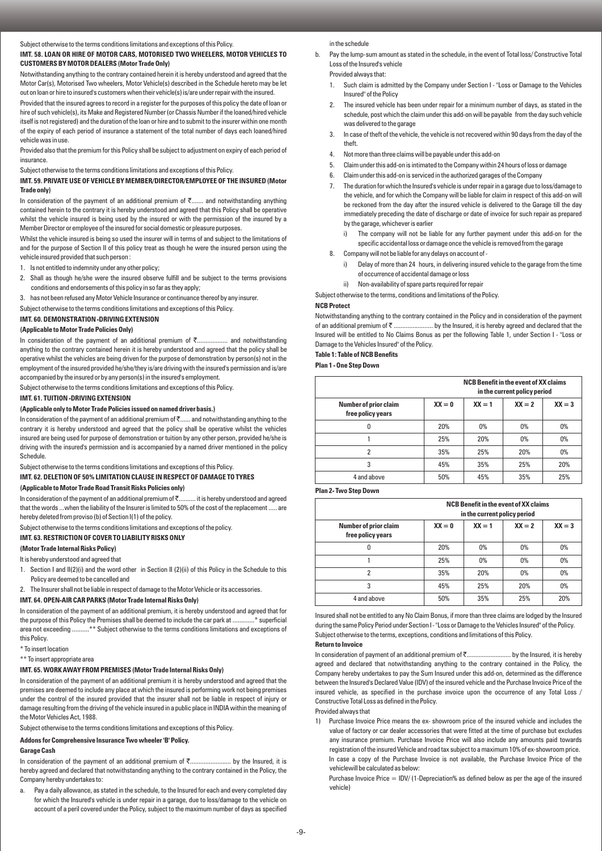Subject otherwise to the terms conditions limitations and exceptions of this Policy.

#### **IMT. 58. LOAN OR HIRE OF MOTOR CARS, MOTORISED TWO WHEELERS, MOTOR VEHICLES TO CUSTOMERS BY MOTOR DEALERS (Motor Trade Only)**

Notwithstanding anything to the contrary contained herein it is hereby understood and agreed that the Motor Car(s), Motorised Two wheelers, Motor Vehicle(s) described in the Schedule hereto may be let out on loan or hire to insured's customers when their vehicle(s) is/are under repair with the insured.

Provided that the insured agrees to record in a register for the purposes of this policy the date of loan or hire of such vehicle(s), its Make and Registered Number (or Chassis Number if the loaned/hired vehicle itself is not registered) and the duration of the loan or hire and to submit to the insurer within one month of the expiry of each period of insurance a statement of the total number of days each loaned/hired vehicle was in use.

Provided also that the premium for this Policy shall be subject to adjustment on expiry of each period of insurance.

Subject otherwise to the terms conditions limitations and exceptions of this Policy.

## **IMT. 59. PRIVATE USE OF VEHICLE BY MEMBER/DIRECTOR/EMPLOYEE OF THE INSURED (Motor Trade only)**

In consideration of the payment of an additional premium of  $\bar{\tau}$ ....... and notwithstanding anything contained herein to the contrary it is hereby understood and agreed that this Policy shall be operative whilst the vehicle insured is being used by the insured or with the permission of the insured by a Member Director or employee of the insured for social domestic or pleasure purposes.

Whilst the vehicle insured is being so used the insurer will in terms of and subject to the limitations of and for the purpose of Section II of this policy treat as though he were the insured person using the vehicle insured provided that such person :

- 1. Is not entitled to indemnity under any other policy;
- 2. Shall as though he/she were the insured observe fulfill and be subject to the terms provisions conditions and endorsements of this policy in so far as they apply;

3. has not been refused any Motor Vehicle Insurance or continuance thereof by any insurer.

Subject otherwise to the terms conditions limitations and exceptions of this Policy.

**IMT. 60. DEMONSTRATION -DRIVING EXTENSION** 

## **(Applicable to Motor Trade Policies Only)**

In consideration of the payment of an additional premium of  $\bar{\tau}$ ................... and notwithstanding anything to the contrary contained herein it is hereby understood and agreed that the policy shall be operative whilst the vehicles are being driven for the purpose of demonstration by person(s) not in the employment of the insured provided he/she/they is/are driving with the insured's permission and is/are accompanied by the insured or by any person(s) in the insured's employment.

Subject otherwise to the terms conditions limitations and exceptions of this Policy.

#### **IMT. 61. TUITION -DRIVING EXTENSION**

#### **(Applicable only to Motor Trade Policies issued on named driver basis.)**

In consideration of the payment of an additional premium of ₹...... and notwithstanding anything to the contrary it is hereby understood and agreed that the policy shall be operative whilst the vehicles insured are being used for purpose of demonstration or tuition by any other person, provided he/she is driving with the insured's permission and is accompanied by a named driver mentioned in the policy **Schedule** 

Subject otherwise to the terms conditions limitations and exceptions of this Policy.

## **IMT. 62. DELETION OF 50% LIMITATION CLAUSE IN RESPECT OF DAMAGE TO TYRES**

## **(Applicable to Motor Trade Road Transit Risks Policies only)**

In consideration of the payment of an additional premium of ₹.......... it is hereby understood and agreed that the words ...when the liability of the Insurer is limited to 50% of the cost of the replacement ..... are hereby deleted from proviso (b) of Section I(1) of the policy.

Subject otherwise to the terms conditions limitations and exceptions of the policy.

#### **IMT. 63. RESTRICTION OF COVER TO LIABILITY RISKS ONLY**

## **(Motor Trade Internal Risks Policy)**

It is hereby understood and agreed that

- 1. Section I and II(2)(i) and the word other in Section II (2)(ii) of this Policy in the Schedule to this Policy are deemed to be cancelled and
- 2. The Insurer shall not be liable in respect of damage to the Motor Vehicle or its accessories.

#### **IMT. 64. OPEN-AIR CAR PARKS (Motor Trade Internal Risks Only)**

In consideration of the payment of an additional premium, it is hereby understood and agreed that for the purpose of this Policy the Premises shall be deemed to include the car park at .............\* superficial area not exceeding ..........\*\* Subject otherwise to the terms conditions limitations and exceptions of this Policy.

- \* To insert location
- \*\* To insert appropriate area

## **IMT. 65. WORK AWAY FROM PREMISES (Motor Trade Internal Risks Only)**

In consideration of the payment of an additional premium it is hereby understood and agreed that the premises are deemed to include any place at which the insured is performing work not being premises under the control of the insured provided that the insurer shall not be liable in respect of injury or damage resulting from the driving of the vehicle insured in a public place in INDIA within the meaning of the Motor Vehicles Act, 1988.

Subject otherwise to the terms conditions limitations and exceptions of this Policy.

#### **Addons for Comprehensive Insurance Two wheeler 'B' Policy.**

#### **Garage Cash**

In consideration of the payment of an additional premium of  $\bar{\tau}$ ........................ by the Insured, it is hereby agreed and declared that notwithstanding anything to the contrary contained in the Policy, the Company hereby undertakes to:

a. Pay a daily allowance, as stated in the schedule, to the Insured for each and every completed day for which the Insured's vehicle is under repair in a garage, due to loss/damage to the vehicle on account of a peril covered under the Policy, subject to the maximum number of days as specified in the schedule

b. Pay the lump-sum amount as stated in the schedule, in the event of Total loss/ Constructive Total Loss of the Insured's vehicle

Provided always that:

- 1. Such claim is admitted by the Company under Section I "Loss or Damage to the Vehicles Insured" of the Policy
- The insured vehicle has been under repair for a minimum number of days, as stated in the schedule, post which the claim under this add-on will be payable from the day such vehicle was delivered to the garage
- 3. In case of theft of the vehicle, the vehicle is not recovered within 90 days from the day of the theft.
- 4. Not more than three claims will be payable under this add-on
- 5. Claim under this add-on is intimated to the Company within 24 hours of loss or damage
- 6. Claim under this add-on is serviced in the authorized garages of the Company
- 7. The duration for which the Insured's vehicle is under repair in a garage due to loss/damage to the vehicle, and for which the Company will be liable for claim in respect of this add-on will be reckoned from the day after the insured vehicle is delivered to the Garage till the day immediately preceding the date of discharge or date of invoice for such repair as prepared by the garage, whichever is earlier
	- i) The company will not be liable for any further payment under this add-on for the specific accidental loss or damage once the vehicle is removed from the garage
- 8. Company will not be liable for any delays on account of
	- i) Delay of more than 24 hours, in delivering insured vehicle to the garage from the time of occurrence of accidental damage or loss
	- ii) Non-availability of spare parts required for repair

Subject otherwise to the terms, conditions and limitations of the Policy.

#### **NCB Protect**

Notwithstanding anything to the contrary contained in the Policy and in consideration of the payment of an additional premium of  $\bar{z}$  ........................ by the Insured, it is hereby agreed and declared that the Insured will be entitled to No Claims Bonus as per the following Table 1, under Section I - "Loss or Damage to the Vehicles Insured" of the Policy.

#### **Table 1: Table of NCB Benefits**

**Plan 1 - One Step Down** 

|                                                   |          |          | <b>NCB Benefit in the event of XX claims</b><br>in the current policy period |          |
|---------------------------------------------------|----------|----------|------------------------------------------------------------------------------|----------|
| <b>Number of prior claim</b><br>free policy years | $XX = 0$ | $XX = 1$ | $XX = 2$                                                                     | $XX = 3$ |
| 0                                                 | 20%      | 0%       | 0%                                                                           | 0%       |
|                                                   | 25%      | 20%      | 0%                                                                           | 0%       |
| 2                                                 | 35%      | 25%      | 20%                                                                          | 0%       |
| 3                                                 | 45%      | 35%      | 25%                                                                          | 20%      |
| 4 and above                                       | 50%      | 45%      | 35%                                                                          | 25%      |

## **Plan 2- Two Step Down**

|                                                   |          | <b>NCB Benefit in the event of XX claims</b><br>in the current policy period |          |          |  |
|---------------------------------------------------|----------|------------------------------------------------------------------------------|----------|----------|--|
| <b>Number of prior claim</b><br>free policy years | $XX = 0$ | $XX = 1$                                                                     | $XX = 2$ | $XX = 3$ |  |
| 0                                                 | 20%      | 0%                                                                           | 0%       | 0%       |  |
|                                                   | 25%      | 0%                                                                           | 0%       | 0%       |  |
| 2                                                 | 35%      | 20%                                                                          | 0%       | 0%       |  |
| 3                                                 | 45%      | 25%                                                                          | 20%      | 0%       |  |
| 4 and above                                       | 50%      | 35%                                                                          | 25%      | 20%      |  |

Insured shall not be entitled to any No Claim Bonus, if more than three claims are lodged by the Insured during the same Policy Period under Section I - "Loss or Damage to the Vehicles Insured" of the Policy. Subject otherwise to the terms, exceptions, conditions and limitations of this Policy.

## **Return to Invoice**

In consideration of payment of an additional premium of  $\bar{\tau}$ .............................. by the Insured, it is hereby agreed and declared that notwithstanding anything to the contrary contained in the Policy, the Company hereby undertakes to pay the Sum Insured under this add-on, determined as the difference between the Insured's Declared Value (IDV) of the insured vehicle and the Purchase Invoice Price of the insured vehicle, as specified in the purchase invoice upon the occurrence of any Total Loss / Constructive Total Loss as defined in the Policy.

Provided always that

1) Purchase Invoice Price means the ex- showroom price of the insured vehicle and includes the value of factory or car dealer accessories that were fitted at the time of purchase but excludes any insurance premium. Purchase Invoice Price will also include any amounts paid towards registration of the insured Vehicle and road tax subject to a maximum 10% of ex-showroom price. In case a copy of the Purchase Invoice is not available, the Purchase Invoice Price of the vehiclewill be calculated as below:

Purchase Invoice Price  $=$  IDV/ (1-Depreciation% as defined below as per the age of the insured vehicle)